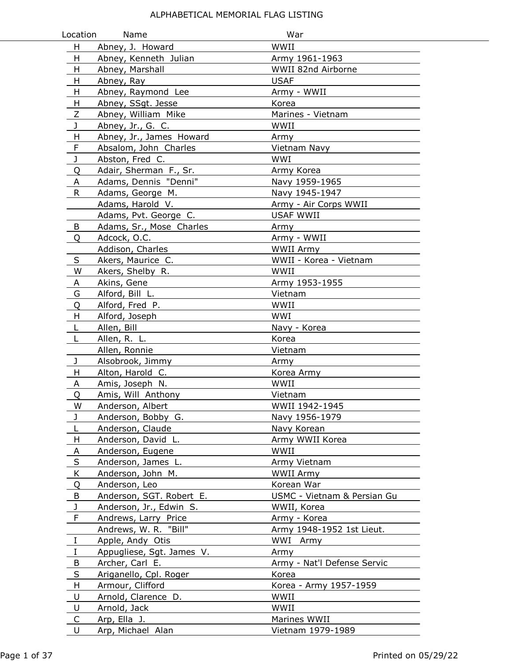| Location     | Name                      | War                         |
|--------------|---------------------------|-----------------------------|
| H            | Abney, J. Howard          | WWII                        |
| H            | Abney, Kenneth Julian     | Army 1961-1963              |
| H            | Abney, Marshall           | WWII 82nd Airborne          |
| H            | Abney, Ray                | <b>USAF</b>                 |
| H            | Abney, Raymond Lee        | Army - WWII                 |
| н            | Abney, SSgt. Jesse        | Korea                       |
| Ζ            | Abney, William Mike       | Marines - Vietnam           |
| J            | Abney, Jr., G. C.         | WWII                        |
| H            | Abney, Jr., James Howard  | Army                        |
| $\mathsf F$  | Absalom, John Charles     | Vietnam Navy                |
| J            | Abston, Fred C.           | WWI                         |
| Q            | Adair, Sherman F., Sr.    | Army Korea                  |
| A            | Adams, Dennis "Denni"     | Navy 1959-1965              |
| $\mathsf{R}$ | Adams, George M.          | Navy 1945-1947              |
|              | Adams, Harold V.          | Army - Air Corps WWII       |
|              | Adams, Pvt. George C.     | <b>USAF WWII</b>            |
| B            | Adams, Sr., Mose Charles  | Army                        |
| O            | Adcock, O.C.              | Army - WWII                 |
|              | Addison, Charles          | <b>WWII Army</b>            |
| S            | Akers, Maurice C.         | WWII - Korea - Vietnam      |
| W            | Akers, Shelby R.          | WWII                        |
| A            | Akins, Gene               | Army 1953-1955              |
| G            | Alford, Bill L.           | Vietnam                     |
| Q            | Alford, Fred P.           | WWII                        |
| H            | Alford, Joseph            | WWI                         |
| L            | Allen, Bill               | Navy - Korea                |
| L            | Allen, R. L.              | Korea                       |
|              | Allen, Ronnie             | Vietnam                     |
| J            | Alsobrook, Jimmy          | Army                        |
| H            | Alton, Harold C.          | Korea Army                  |
| Α            | Amis, Joseph N.           | WWII                        |
| Q            | Amis, Will Anthony        | Vietnam                     |
| W            | Anderson, Albert          | WWII 1942-1945              |
| J            | Anderson, Bobby G.        | Navy 1956-1979              |
| L            | Anderson, Claude          | Navy Korean                 |
| H            | Anderson, David L.        | Army WWII Korea             |
| A            | Anderson, Eugene          | WWII                        |
| $\sf S$      | Anderson, James L.        | Army Vietnam                |
| K            | Anderson, John M.         | WWII Army                   |
| Q            | Anderson, Leo             | Korean War                  |
| B            | Anderson, SGT. Robert E.  | USMC - Vietnam & Persian Gu |
| J            | Anderson, Jr., Edwin S.   | WWII, Korea                 |
| F            | Andrews, Larry Price      | Army - Korea                |
|              | Andrews, W. R. "Bill"     | Army 1948-1952 1st Lieut.   |
| Ι.           | Apple, Andy Otis          | WWI Army                    |
| $\bf{I}$     | Appugliese, Sgt. James V. | Army                        |
| B            | Archer, Carl E.           | Army - Nat'l Defense Servic |
| $\sf S$      | Ariganello, Cpl. Roger    | Korea                       |
| H.           | Armour, Clifford          | Korea - Army 1957-1959      |
| U            | Arnold, Clarence D.       | WWII                        |
| U            | Arnold, Jack              | WWII                        |
| C            | Arp, Ella J.              | Marines WWII                |
| U            | Arp, Michael Alan         | Vietnam 1979-1989           |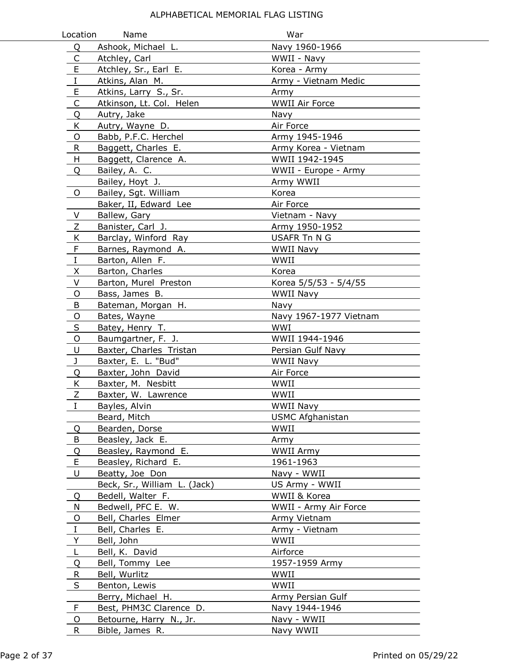| Location     | Name                         | War                     |  |
|--------------|------------------------------|-------------------------|--|
| Q            | Ashook, Michael L.           | Navy 1960-1966          |  |
| C            | Atchley, Carl                | WWII - Navy             |  |
| E            | Atchley, Sr., Earl E.        | Korea - Army            |  |
| $\rm I$      | Atkins, Alan M.              | Army - Vietnam Medic    |  |
| E            | Atkins, Larry S., Sr.        | Army                    |  |
| $\mathsf C$  | Atkinson, Lt. Col. Helen     | <b>WWII Air Force</b>   |  |
| Q            | Autry, Jake                  | Navy                    |  |
| K            | Autry, Wayne D.              | Air Force               |  |
| O            | Babb, P.F.C. Herchel         | Army 1945-1946          |  |
| $\mathsf{R}$ | Baggett, Charles E.          | Army Korea - Vietnam    |  |
| H            | Baggett, Clarence A.         | WWII 1942-1945          |  |
| Q            | Bailey, A. C.                | WWII - Europe - Army    |  |
|              | Bailey, Hoyt J.              | Army WWII               |  |
| $\mathsf{O}$ | Bailey, Sgt. William         | Korea                   |  |
|              | Baker, II, Edward Lee        | Air Force               |  |
| V            | Ballew, Gary                 | Vietnam - Navy          |  |
| Z            | Banister, Carl J.            | Army 1950-1952          |  |
| K            | Barclay, Winford Ray         | <b>USAFR Tn N G</b>     |  |
| F            | Barnes, Raymond A.           | <b>WWII Navy</b>        |  |
| $\rm I$      | Barton, Allen F.             | WWII                    |  |
| X            | Barton, Charles              | Korea                   |  |
| V            | Barton, Murel Preston        | Korea 5/5/53 - 5/4/55   |  |
| O            | Bass, James B.               | WWII Navy               |  |
| B            | Bateman, Morgan H.           | Navy                    |  |
| O            | Bates, Wayne                 | Navy 1967-1977 Vietnam  |  |
| $\sf S$      | Batey, Henry T.              | WWI                     |  |
| O            | Baumgartner, F. J.           | WWII 1944-1946          |  |
| U            | Baxter, Charles Tristan      | Persian Gulf Navy       |  |
| J            | Baxter, E. L. "Bud"          | <b>WWII Navy</b>        |  |
| Q            | Baxter, John David           | Air Force               |  |
| K            | Baxter, M. Nesbitt           | WWII                    |  |
| Z            | Baxter, W. Lawrence          | WWII                    |  |
| 1            | Bayles, Alvin                | WWII Navy               |  |
|              | Beard, Mitch                 | <b>USMC Afghanistan</b> |  |
| Q            | Bearden, Dorse               | WWII                    |  |
| B            | Beasley, Jack E.             | Army                    |  |
| Q            | Beasley, Raymond E.          | WWII Army               |  |
| E            | Beasley, Richard E.          | 1961-1963               |  |
| U            | Beatty, Joe Don              | Navy - WWII             |  |
|              | Beck, Sr., William L. (Jack) | US Army - WWII          |  |
| Q            | Bedell, Walter F.            | WWII & Korea            |  |
| N            | Bedwell, PFC E. W.           | WWII - Army Air Force   |  |
| O            | Bell, Charles Elmer          | Army Vietnam            |  |
| $\mathbf I$  | Bell, Charles E.             | Army - Vietnam          |  |
| Y            | Bell, John                   | WWII                    |  |
| L            | Bell, K. David               | Airforce                |  |
| Q            | Bell, Tommy Lee              | 1957-1959 Army          |  |
| R            | Bell, Wurlitz                | WWII                    |  |
| $\sf S$      | Benton, Lewis                | WWII                    |  |
|              | Berry, Michael H.            | Army Persian Gulf       |  |
| F            | Best, PHM3C Clarence D.      | Navy 1944-1946          |  |
| O            | Betourne, Harry N., Jr.      | Navy - WWII             |  |
| R            | Bible, James R.              | Navy WWII               |  |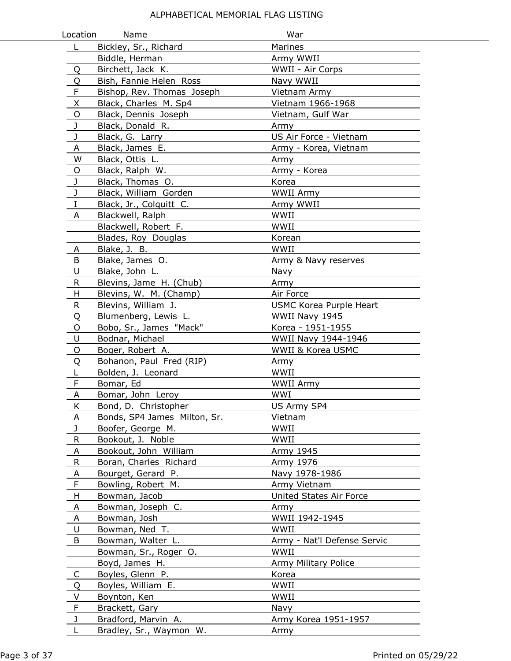| Location     | Name                         | War                            |
|--------------|------------------------------|--------------------------------|
| L.           | Bickley, Sr., Richard        | Marines                        |
|              | Biddle, Herman               | Army WWII                      |
| Q            | Birchett, Jack K.            | WWII - Air Corps               |
| Q            | Bish, Fannie Helen Ross      | Navy WWII                      |
| F            | Bishop, Rev. Thomas Joseph   | Vietnam Army                   |
| X            | Black, Charles M. Sp4        | Vietnam 1966-1968              |
| $\circ$      | Black, Dennis Joseph         | Vietnam, Gulf War              |
| J            | Black, Donald R.             | Army                           |
| J            | Black, G. Larry              | US Air Force - Vietnam         |
| A            | Black, James E.              | Army - Korea, Vietnam          |
| W            | Black, Ottis L.              | Army                           |
| O            | Black, Ralph W.              | Army - Korea                   |
| J            | Black, Thomas O.             | Korea                          |
| J            | Black, William Gorden        | <b>WWII Army</b>               |
| I            | Black, Jr., Colquitt C.      | Army WWII                      |
| A            | Blackwell, Ralph             | WWII                           |
|              | Blackwell, Robert F.         | WWII                           |
|              | Blades, Roy Douglas          | Korean                         |
| A            | Blake, J. B.                 | WWII                           |
| B            | Blake, James O.              | Army & Navy reserves           |
| U            | Blake, John L.               | Navy                           |
| $\mathsf{R}$ | Blevins, Jame H. (Chub)      | Army                           |
| H            | Blevins, W. M. (Champ)       | Air Force                      |
| R.           | Blevins, William J.          | <b>USMC Korea Purple Heart</b> |
| Q            | Blumenberg, Lewis L.         | WWII Navy 1945                 |
| O            | Bobo, Sr., James "Mack"      | Korea - 1951-1955              |
| U            | Bodnar, Michael              | WWII Navy 1944-1946            |
| O            | Boger, Robert A.             | WWII & Korea USMC              |
| Q            | Bohanon, Paul Fred (RIP)     | Army                           |
| L            | Bolden, J. Leonard           | WWII                           |
| F            | Bomar, Ed                    | <b>WWII Army</b>               |
| Α            | Bomar, John Leroy            | WWI                            |
| Κ            | Bond, D. Christopher         | US Army SP4                    |
| Α            | Bonds, SP4 James Milton, Sr. | Vietnam                        |
| J            | Boofer, George M.            | WWII                           |
| $\mathsf{R}$ | Bookout, J. Noble            | WWII                           |
| A            | Bookout, John William        | Army 1945                      |
| R            | Boran, Charles Richard       | Army 1976                      |
| Α            | Bourget, Gerard P.           | Navy 1978-1986                 |
| F            | Bowling, Robert M.           | Army Vietnam                   |
| H            | Bowman, Jacob                | United States Air Force        |
| A            | Bowman, Joseph C.            | Army                           |
| A            | Bowman, Josh                 | WWII 1942-1945                 |
| U            | Bowman, Ned T.               | WWII                           |
| B            | Bowman, Walter L.            | Army - Nat'l Defense Servic    |
|              | Bowman, Sr., Roger O.        | WWII                           |
|              | Boyd, James H.               | Army Military Police           |
| C            | Boyles, Glenn P.             | Korea                          |
| Q            | Boyles, William E.           | WWII                           |
| V            | Boynton, Ken                 | WWII                           |
| F            | Brackett, Gary               | Navy                           |
| J            | Bradford, Marvin A.          | Army Korea 1951-1957           |
| L            | Bradley, Sr., Waymon W.      | Army                           |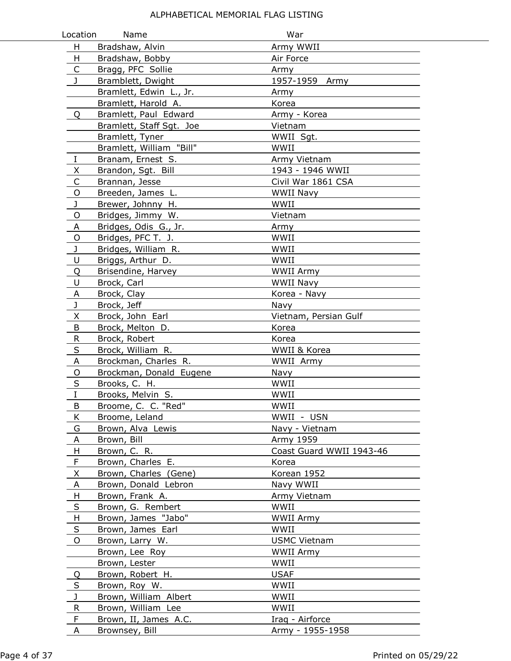| Location     | Name                                        | War                      |
|--------------|---------------------------------------------|--------------------------|
| H            | Bradshaw, Alvin                             | Army WWII                |
| H            | Bradshaw, Bobby                             | Air Force                |
| $\mathsf{C}$ | Bragg, PFC Sollie                           | Army                     |
| J            | Bramblett, Dwight                           | 1957-1959 Army           |
|              | Bramlett, Edwin L., Jr.                     | Army                     |
|              | Bramlett, Harold A.                         | Korea                    |
| Q            | Bramlett, Paul Edward                       | Army - Korea             |
|              | Bramlett, Staff Sgt. Joe                    | Vietnam                  |
|              | Bramlett, Tyner                             | WWII Sgt.                |
|              | Bramlett, William "Bill"                    | WWII                     |
| $\bf{I}$     | Branam, Ernest S.                           | Army Vietnam             |
| X            | Brandon, Sgt. Bill                          | 1943 - 1946 WWII         |
|              | Brannan, Jesse                              | Civil War 1861 CSA       |
| $\mathsf{O}$ | Breeden, James L.                           | <b>WWII Navy</b>         |
| J            | Brewer, Johnny H.                           | WWII                     |
| O            | Bridges, Jimmy W.                           | Vietnam                  |
| Α            | Bridges, Odis G., Jr.                       | Army                     |
| O            | Bridges, PFC T. J.                          | WWII                     |
| J            | Bridges, William R.                         | WWII                     |
| U            | Briggs, Arthur D.                           | WWII                     |
| Q            | Brisendine, Harvey                          | WWII Army                |
| $\cup$       | Brock, Carl                                 | WWII Navy                |
| A            | Brock, Clay                                 | Korea - Navy             |
| $\mathbf{J}$ | Brock, Jeff                                 | Navy                     |
| X            | Brock, John Earl                            | Vietnam, Persian Gulf    |
| B            | Brock, Melton D.                            | Korea                    |
| ${\sf R}$    | Brock, Robert                               | Korea                    |
| $\sf S$      | Brock, William R.                           | WWII & Korea             |
| A            | Brockman, Charles R.                        | WWII Army                |
| O            | Brockman, Donald Eugene                     | Navy                     |
| S            | Brooks, C. H.                               | WWII                     |
| I            | Brooks, Melvin S.                           | WWII                     |
| B            | Broome, C. C. "Red"                         | WWII                     |
| K            | Broome, Leland                              | WWII - USN               |
| G            | Brown, Alva Lewis                           | Navy - Vietnam           |
| A            | Brown, Bill                                 | Army 1959                |
| H            | Brown, C. R.                                | Coast Guard WWII 1943-46 |
| F            | Brown, Charles E.                           | Korea                    |
| X            | Brown, Charles (Gene)                       | Korean 1952              |
| A            | Brown, Donald Lebron                        | Navy WWII                |
| H            | Brown, Frank A.                             | Army Vietnam             |
| $\sf S$      | Brown, G. Rembert                           | WWII                     |
| H            | Brown, James "Jabo"                         | WWII Army                |
| S            | Brown, James Earl                           | WWII                     |
| O            | Brown, Larry W.                             | <b>USMC Vietnam</b>      |
|              | Brown, Lee Roy                              | WWII Army                |
|              | Brown, Lester                               | WWII                     |
| Q            | Brown, Robert H.                            | <b>USAF</b>              |
| S<br>J       | Brown, Roy W.                               | WWII<br>WWII             |
| $\mathsf{R}$ | Brown, William Albert<br>Brown, William Lee | WWII                     |
| F            | Brown, II, James A.C.                       | Iraq - Airforce          |
| A            | Brownsey, Bill                              | Army - 1955-1958         |
|              |                                             |                          |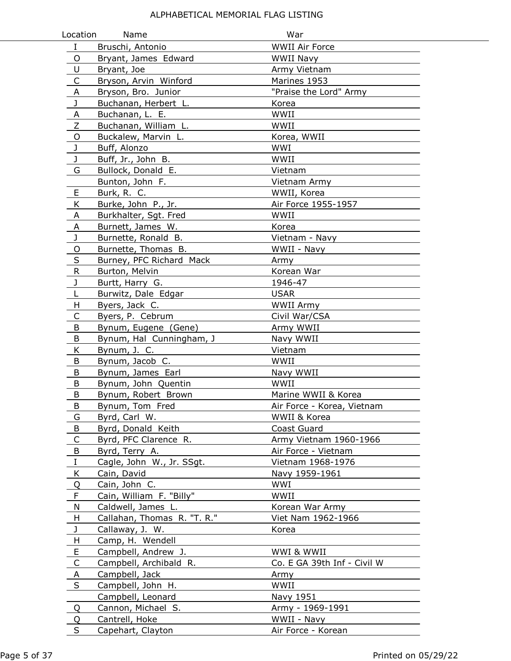| Location       | Name                        | War                         |
|----------------|-----------------------------|-----------------------------|
| $\mathbf I$    | Bruschi, Antonio            | <b>WWII Air Force</b>       |
| O              | Bryant, James Edward        | <b>WWII Navy</b>            |
| U              | Bryant, Joe                 | Army Vietnam                |
| C              | Bryson, Arvin Winford       | Marines 1953                |
| A              | Bryson, Bro. Junior         | "Praise the Lord" Army      |
| J              | Buchanan, Herbert L.        | Korea                       |
| А              | Buchanan, L. E.             | WWII                        |
| Ζ              | Buchanan, William L.        | WWII                        |
| $\circ$        | Buckalew, Marvin L.         | Korea, WWII                 |
| J              | Buff, Alonzo                | WWI                         |
| J              | Buff, Jr., John B.          | WWII                        |
| G              | Bullock, Donald E.          | Vietnam                     |
|                | Bunton, John F.             | Vietnam Army                |
| E              | Burk, R. C.                 | WWII, Korea                 |
| K              | Burke, John P., Jr.         | Air Force 1955-1957         |
| Α              | Burkhalter, Sgt. Fred       | WWII                        |
| Α              | Burnett, James W.           | Korea                       |
| J              | Burnette, Ronald B.         | Vietnam - Navy              |
| O              | Burnette, Thomas B.         | WWII - Navy                 |
| S              | Burney, PFC Richard Mack    | Army                        |
| R.             | Burton, Melvin              | Korean War                  |
| J              | Burtt, Harry G.             | 1946-47                     |
| L              | Burwitz, Dale Edgar         | <b>USAR</b>                 |
| H              | Byers, Jack C.              | WWII Army                   |
| C              | Byers, P. Cebrum            | Civil War/CSA               |
| B              | Bynum, Eugene (Gene)        | Army WWII                   |
| B              | Bynum, Hal Cunningham, J    | Navy WWII                   |
| Κ              | Bynum, J. C.                | Vietnam                     |
| B              | Bynum, Jacob C.             | WWII                        |
| B              | Bynum, James Earl           | Navy WWII                   |
| В              | Bynum, John Quentin         | WWII                        |
| B              | Bynum, Robert Brown         | Marine WWII & Korea         |
| В              | Bynum, Tom Fred             | Air Force - Korea, Vietnam  |
| G              | Byrd, Carl W.               | WWII & Korea                |
| B              | Byrd, Donald Keith          | Coast Guard                 |
| $\mathsf C$    | Byrd, PFC Clarence R.       | Army Vietnam 1960-1966      |
| $\overline{B}$ | Byrd, Terry A.              | Air Force - Vietnam         |
| $\rm I$        | Cagle, John W., Jr. SSgt.   | Vietnam 1968-1976           |
| K              | Cain, David                 | Navy 1959-1961              |
| Q              | Cain, John C.               | WWI                         |
| F              | Cain, William F. "Billy"    | WWII                        |
| N              | Caldwell, James L.          | Korean War Army             |
| H              | Callahan, Thomas R. "T. R." | Viet Nam 1962-1966          |
| J              | Callaway, J. W.             | Korea                       |
| H              | Camp, H. Wendell            |                             |
| E              | Campbell, Andrew J.         | WWI & WWII                  |
| C              | Campbell, Archibald R.      | Co. E GA 39th Inf - Civil W |
| $\mathsf{A}$   | Campbell, Jack              | Army                        |
| $\sf S$        | Campbell, John H.           | WWII                        |
|                | Campbell, Leonard           | Navy 1951                   |
| Q              | Cannon, Michael S.          | Army - 1969-1991            |
| Q              | Cantrell, Hoke              | WWII - Navy                 |
| S              | Capehart, Clayton           | Air Force - Korean          |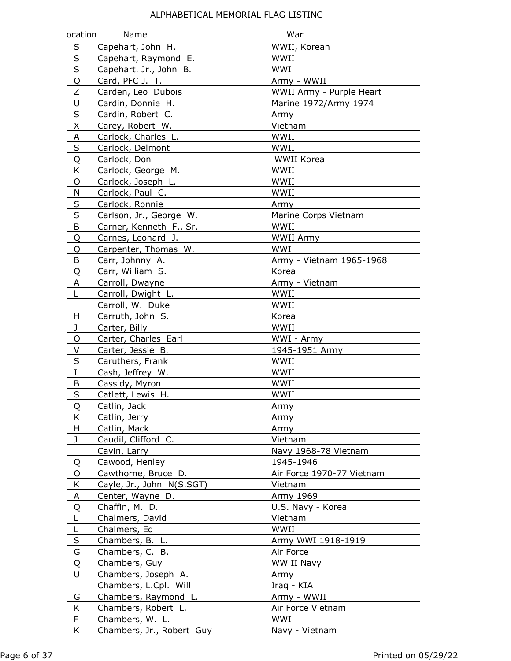| Location                | Name                      | War                       |
|-------------------------|---------------------------|---------------------------|
| $\sf S$                 | Capehart, John H.         | WWII, Korean              |
| $\mathsf{S}$            | Capehart, Raymond E.      | WWII                      |
| $\sf S$                 | Capehart. Jr., John B.    | WWI                       |
| Q                       | Card, PFC J. T.           | Army - WWII               |
| Z                       | Carden, Leo Dubois        | WWII Army - Purple Heart  |
| U                       | Cardin, Donnie H.         | Marine 1972/Army 1974     |
| $\sf S$                 | Cardin, Robert C.         | Army                      |
| X                       | Carey, Robert W.          | Vietnam                   |
| $\overline{A}$          | Carlock, Charles L.       | WWII                      |
| S                       | Carlock, Delmont          | WWII                      |
| Q                       | Carlock, Don              | WWII Korea                |
| K                       | Carlock, George M.        | WWII                      |
| O                       | Carlock, Joseph L.        | WWII                      |
| N                       | Carlock, Paul C.          | WWII                      |
| $\overline{\mathsf{S}}$ | Carlock, Ronnie           | Army                      |
| $\sf S$                 | Carlson, Jr., George W.   | Marine Corps Vietnam      |
| B                       | Carner, Kenneth F., Sr.   | WWII                      |
| Q                       | Carnes, Leonard J.        | <b>WWII Army</b>          |
| Q                       | Carpenter, Thomas W.      | WWI                       |
| B                       | Carr, Johnny A.           | Army - Vietnam 1965-1968  |
| Q                       | Carr, William S.          | Korea                     |
| A                       | Carroll, Dwayne           | Army - Vietnam            |
| L                       | Carroll, Dwight L.        | WWII                      |
|                         | Carroll, W. Duke          | WWII                      |
| H                       | Carruth, John S.          | Korea                     |
| J                       | Carter, Billy             | WWII                      |
| O                       | Carter, Charles Earl      | WWI - Army                |
| V                       | Carter, Jessie B.         | 1945-1951 Army            |
| S                       | Caruthers, Frank          | WWII                      |
| $\rm I$                 | Cash, Jeffrey W.          | WWII                      |
| B                       | Cassidy, Myron            | WWII                      |
| S                       | Catlett, Lewis H.         | WWII                      |
| Q                       | Catlin, Jack              | Army                      |
| K                       | Catlin, Jerry             | Army                      |
| H                       | Catlin, Mack              | Army                      |
| J                       | Caudil, Clifford C.       | Vietnam                   |
|                         | Cavin, Larry              | Navy 1968-78 Vietnam      |
| Q                       | Cawood, Henley            | 1945-1946                 |
| O                       | Cawthorne, Bruce D.       | Air Force 1970-77 Vietnam |
| K                       | Cayle, Jr., John N(S.SGT) | Vietnam                   |
| A                       | Center, Wayne D.          | Army 1969                 |
| Q                       | Chaffin, M. D.            | U.S. Navy - Korea         |
| L                       | Chalmers, David           | Vietnam                   |
| L                       | Chalmers, Ed              | WWII                      |
| $\sf S$                 | Chambers, B. L.           | Army WWI 1918-1919        |
| G                       | Chambers, C. B.           | Air Force                 |
| Q                       | Chambers, Guy             | WW II Navy                |
| U                       | Chambers, Joseph A.       | Army                      |
|                         | Chambers, L.Cpl. Will     | Iraq - KIA                |
| G                       | Chambers, Raymond L.      | Army - WWII               |
| K                       | Chambers, Robert L.       | Air Force Vietnam         |
| F                       | Chambers, W. L.           | WWI                       |
| K                       | Chambers, Jr., Robert Guy | Navy - Vietnam            |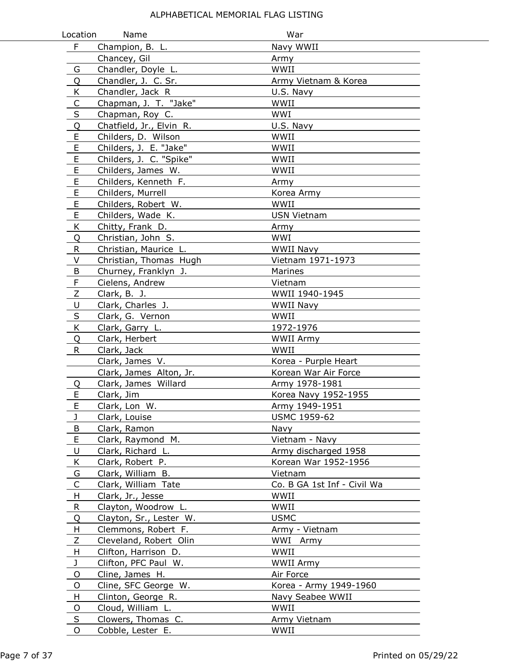| Location     | Name                     | War                         |
|--------------|--------------------------|-----------------------------|
| F            | Champion, B. L.          | Navy WWII                   |
|              | Chancey, Gil             | Army                        |
| G            | Chandler, Doyle L.       | WWII                        |
| Q            | Chandler, J. C. Sr.      | Army Vietnam & Korea        |
| K            | Chandler, Jack R         | U.S. Navy                   |
| $\mathsf{C}$ | Chapman, J. T. "Jake"    | WWII                        |
| $\sf S$      | Chapman, Roy C.          | WWI                         |
| Q            | Chatfield, Jr., Elvin R. | U.S. Navy                   |
| E            | Childers, D. Wilson      | WWII                        |
| E            | Childers, J. E. "Jake"   | WWII                        |
| E            | Childers, J. C. "Spike"  | WWII                        |
| E            | Childers, James W.       | WWII                        |
| E            | Childers, Kenneth F.     | Army                        |
| $\mathsf E$  | Childers, Murrell        | Korea Army                  |
| $\mathsf E$  | Childers, Robert W.      | WWII                        |
| E            | Childers, Wade K.        | USN Vietnam                 |
| K            | Chitty, Frank D.         | Army                        |
| Q            | Christian, John S.       | WWI                         |
| R            | Christian, Maurice L.    | <b>WWII Navy</b>            |
| $\vee$       | Christian, Thomas Hugh   | Vietnam 1971-1973           |
| B            | Churney, Franklyn J.     | Marines                     |
| F            | Cielens, Andrew          | Vietnam                     |
| $\mathsf Z$  | Clark, B. J.             | WWII 1940-1945              |
| U            | Clark, Charles J.        | WWII Navy                   |
| $\sf S$      | Clark, G. Vernon         | WWII                        |
| K            | Clark, Garry L.          | 1972-1976                   |
| Q            | Clark, Herbert           | <b>WWII Army</b>            |
| $\mathsf{R}$ | Clark, Jack              | WWII                        |
|              | Clark, James V.          | Korea - Purple Heart        |
|              | Clark, James Alton, Jr.  | Korean War Air Force        |
| Q            | Clark, James Willard     | Army 1978-1981              |
| E            | Clark, Jim               | Korea Navy 1952-1955        |
| F.           | Clark, Lon W.            | Army 1949-1951              |
| J            | Clark, Louise            | <b>USMC 1959-62</b>         |
| $\sf B$      | Clark, Ramon             | Navy                        |
| $\mathsf E$  | Clark, Raymond M.        | Vietnam - Navy              |
| U            | Clark, Richard L.        | Army discharged 1958        |
| K            | Clark, Robert P.         | Korean War 1952-1956        |
| G            | Clark, William B.        | Vietnam                     |
| C            | Clark, William Tate      | Co. B GA 1st Inf - Civil Wa |
| H            | Clark, Jr., Jesse        | WWII                        |
| R            | Clayton, Woodrow L.      | WWII                        |
| Q            | Clayton, Sr., Lester W.  | <b>USMC</b>                 |
| H            | Clemmons, Robert F.      | Army - Vietnam              |
| Ζ            | Cleveland, Robert Olin   | WWI Army                    |
| H            | Clifton, Harrison D.     | WWII                        |
| $\mathbf{J}$ | Clifton, PFC Paul W.     | WWII Army                   |
| O            | Cline, James H.          | Air Force                   |
| O            | Cline, SFC George W.     | Korea - Army 1949-1960      |
| H            | Clinton, George R.       | Navy Seabee WWII            |
| O            | Cloud, William L.        | WWII                        |
| S            | Clowers, Thomas C.       | Army Vietnam                |
| O            | Cobble, Lester E.        | WWII                        |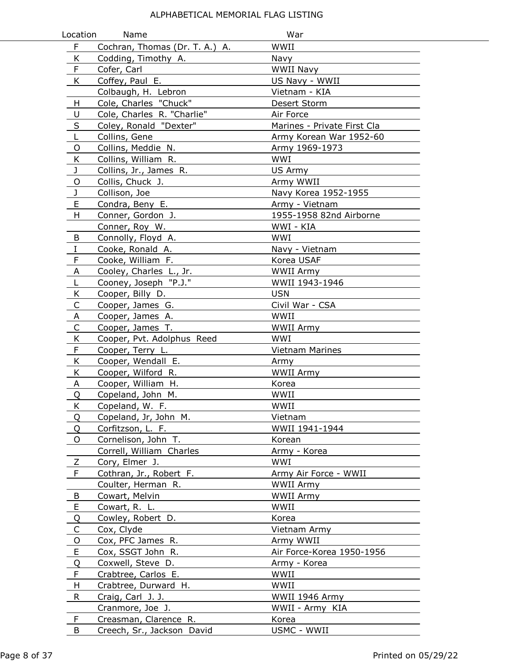| Location     | Name                           | War                         |
|--------------|--------------------------------|-----------------------------|
| F.           | Cochran, Thomas (Dr. T. A.) A. | WWII                        |
| K            | Codding, Timothy A.            | Navy                        |
| F            | Cofer, Carl                    | <b>WWII Navy</b>            |
| K.           | Coffey, Paul E.                | US Navy - WWII              |
|              | Colbaugh, H. Lebron            | Vietnam - KIA               |
| H            | Cole, Charles "Chuck"          | Desert Storm                |
| U            | Cole, Charles R. "Charlie"     | Air Force                   |
| S            | Coley, Ronald "Dexter"         | Marines - Private First Cla |
| L            | Collins, Gene                  | Army Korean War 1952-60     |
| O            | Collins, Meddie N.             | Army 1969-1973              |
| Κ            | Collins, William R.            | WWI                         |
| J            | Collins, Jr., James R.         | US Army                     |
| O            | Collis, Chuck J.               | Army WWII                   |
| J            | Collison, Joe                  | Navy Korea 1952-1955        |
| E            | Condra, Beny E.                | Army - Vietnam              |
| H            | Conner, Gordon J.              | 1955-1958 82nd Airborne     |
|              | Conner, Roy W.                 | WWI - KIA                   |
| B            | Connolly, Floyd A.             | WWI                         |
| I            | Cooke, Ronald A.               | Navy - Vietnam              |
| F            | Cooke, William F.              | Korea USAF                  |
| A            | Cooley, Charles L., Jr.        | <b>WWII Army</b>            |
| L            | Cooney, Joseph "P.J."          | WWII 1943-1946              |
| K            | Cooper, Billy D.               | <b>USN</b>                  |
| $\mathsf C$  | Cooper, James G.               | Civil War - CSA             |
| A            | Cooper, James A.               | WWII                        |
| C            | Cooper, James T.               | <b>WWII Army</b>            |
| K            | Cooper, Pvt. Adolphus Reed     | WWI                         |
| F            | Cooper, Terry L.               | <b>Vietnam Marines</b>      |
| K            | Cooper, Wendall E.             | Army                        |
| K            | Cooper, Wilford R.             | <b>WWII Army</b>            |
| Α            | Cooper, William H.             | Korea                       |
| Q            | Copeland, John M.              | WWII                        |
| Κ            | Copeland, W. F.                | WWII                        |
| Q            | Copeland, Jr, John M.          | Vietnam                     |
| Q            | Corfitzson, L. F.              | WWII 1941-1944              |
| O            | Cornelison, John T.            | Korean                      |
|              | Correll, William Charles       | Army - Korea                |
| Z            | Cory, Elmer J.                 | WWI                         |
| F            | Cothran, Jr., Robert F.        | Army Air Force - WWII       |
|              | Coulter, Herman R.             | WWII Army                   |
| B            | Cowart, Melvin                 | WWII Army                   |
| E            | Cowart, R. L.                  | WWII                        |
| Q            | Cowley, Robert D.              | Korea                       |
| $\mathsf{C}$ | Cox, Clyde                     | Vietnam Army                |
| O            | Cox, PFC James R.              | Army WWII                   |
| E            | Cox, SSGT John R.              | Air Force-Korea 1950-1956   |
| Q            | Coxwell, Steve D.              | Army - Korea                |
| F            | Crabtree, Carlos E.            | WWII                        |
| H            | Crabtree, Durward H.           | WWII                        |
| R.           | Craig, Carl J. J.              | WWII 1946 Army              |
|              | Cranmore, Joe J.               | WWII - Army KIA             |
| F            | Creasman, Clarence R.          | Korea                       |
| B            | Creech, Sr., Jackson David     | USMC - WWII                 |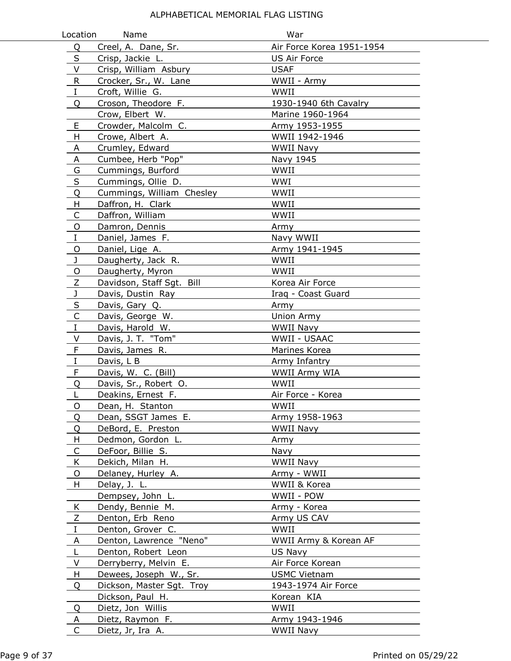| Location         | Name                                         | War                              |
|------------------|----------------------------------------------|----------------------------------|
| Q                | Creel, A. Dane, Sr.                          | Air Force Korea 1951-1954        |
| S                | Crisp, Jackie L.                             | <b>US Air Force</b>              |
| V                | Crisp, William Asbury                        | <b>USAF</b>                      |
| $\sf R$          | Crocker, Sr., W. Lane                        | WWII - Army                      |
| $\rm I$          | Croft, Willie G.                             | WWII                             |
| Q                | Croson, Theodore F.                          | 1930-1940 6th Cavalry            |
|                  | Crow, Elbert W.                              | Marine 1960-1964                 |
| E                | Crowder, Malcolm C.                          | Army 1953-1955                   |
| H                | Crowe, Albert A.                             | WWII 1942-1946                   |
| A                | Crumley, Edward                              | <b>WWII Navy</b>                 |
| A                | Cumbee, Herb "Pop"                           | Navy 1945                        |
| $\overline{G}$   | Cummings, Burford                            | WWII                             |
| $\sf S$          | Cummings, Ollie D.                           | WWI                              |
| Q                | Cummings, William Chesley                    | WWII                             |
| H.               | Daffron, H. Clark                            | WWII                             |
| C                | Daffron, William                             | WWII                             |
| $\circ$          | Damron, Dennis                               | Army                             |
| $\bf{I}$         | Daniel, James F.                             | Navy WWII                        |
| O                | Daniel, Lige A.                              | Army 1941-1945                   |
| J                | Daugherty, Jack R.                           | WWII                             |
| O                | Daugherty, Myron                             | WWII                             |
| $\mathsf Z$      | Davidson, Staff Sgt. Bill                    | Korea Air Force                  |
| $\mathbf J$      | Davis, Dustin Ray                            | Iraq - Coast Guard               |
| S                | Davis, Gary Q.                               | Army                             |
| $\mathsf{C}$     | Davis, George W.                             | Union Army                       |
| $\bf{I}$         | Davis, Harold W.                             | <b>WWII Navy</b>                 |
| $\vee$           | Davis, J. T. "Tom"                           | WWII - USAAC                     |
| $\mathsf F$      | Davis, James R.                              | Marines Korea                    |
| $\rm I$          | Davis, L B                                   | Army Infantry                    |
| $\mathsf F$      | Davis, W. C. (Bill)                          | WWII Army WIA                    |
| Q                | Davis, Sr., Robert O.                        | WWII                             |
| L                | Deakins, Ernest F.                           | Air Force - Korea                |
| O                | Dean, H. Stanton                             | WWII                             |
| Q                | Dean, SSGT James E.                          | Army 1958-1963                   |
| Q                | DeBord, E. Preston                           | <b>WWII Navy</b>                 |
| H.               | Dedmon, Gordon L.                            | Army                             |
| C                | DeFoor, Billie S.                            | Navy                             |
| K                | Dekich, Milan H.                             | WWII Navy                        |
| O                | Delaney, Hurley A.                           | Army - WWII                      |
| H                | Delay, J. L.                                 | WWII & Korea                     |
|                  | Dempsey, John L.                             | WWII - POW                       |
| K                | Dendy, Bennie M.                             | Army - Korea                     |
| Ζ<br>$\mathbf I$ | Denton, Erb Reno                             | Army US CAV                      |
|                  | Denton, Grover C.                            | WWII                             |
| A<br>L           | Denton, Lawrence "Neno"                      | WWII Army & Korean AF<br>US Navy |
| V                | Denton, Robert Leon<br>Derryberry, Melvin E. | Air Force Korean                 |
| H                | Dewees, Joseph W., Sr.                       | <b>USMC Vietnam</b>              |
| Q                | Dickson, Master Sgt. Troy                    | 1943-1974 Air Force              |
|                  | Dickson, Paul H.                             | Korean KIA                       |
| Q                | Dietz, Jon Willis                            | WWII                             |
| A                | Dietz, Raymon F.                             | Army 1943-1946                   |
| C                | Dietz, Jr, Ira A.                            | WWII Navy                        |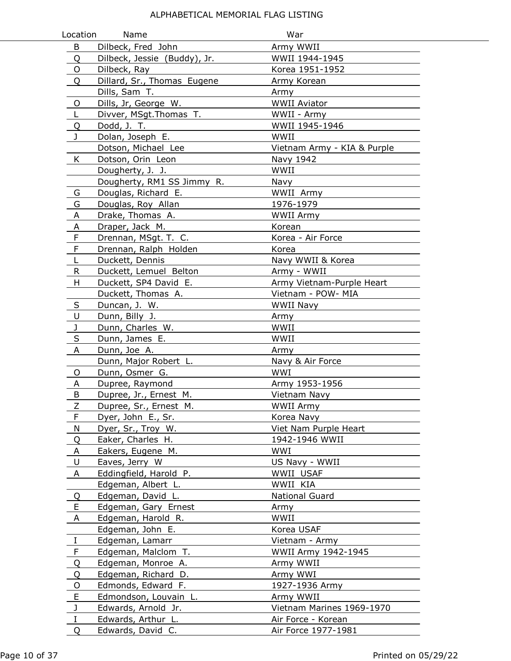| Location     | Name                         | War                         |
|--------------|------------------------------|-----------------------------|
| B            | Dilbeck, Fred John           | Army WWII                   |
| Q            | Dilbeck, Jessie (Buddy), Jr. | WWII 1944-1945              |
| O            | Dilbeck, Ray                 | Korea 1951-1952             |
| Q            | Dillard, Sr., Thomas Eugene  | Army Korean                 |
|              | Dills, Sam T.                | Army                        |
| O            | Dills, Jr, George W.         | <b>WWII Aviator</b>         |
| L            | Divver, MSgt. Thomas T.      | WWII - Army                 |
| Q            | Dodd, J. T.                  | WWII 1945-1946              |
| $\mathbf{J}$ | Dolan, Joseph E.             | WWII                        |
|              | Dotson, Michael Lee          | Vietnam Army - KIA & Purple |
| K            | Dotson, Orin Leon            | Navy 1942                   |
|              | Dougherty, J. J.             | WWII                        |
|              | Dougherty, RM1 SS Jimmy R.   | Navy                        |
| G            | Douglas, Richard E.          | WWII Army                   |
| G            | Douglas, Roy Allan           | 1976-1979                   |
| A            | Drake, Thomas A.             | <b>WWII Army</b>            |
| A            | Draper, Jack M.              | Korean                      |
| F            | Drennan, MSgt. T. C.         | Korea - Air Force           |
| F            | Drennan, Ralph Holden        | Korea                       |
| L            | Duckett, Dennis              | Navy WWII & Korea           |
| R.           | Duckett, Lemuel Belton       | Army - WWII                 |
| H            | Duckett, SP4 David E.        | Army Vietnam-Purple Heart   |
|              | Duckett, Thomas A.           | Vietnam - POW- MIA          |
| S            | Duncan, J. W.                | WWII Navy                   |
| U            | Dunn, Billy J.               | Army                        |
| J            | Dunn, Charles W.             | WWII                        |
| S            | Dunn, James E.               | WWII                        |
| A            | Dunn, Joe A.                 | Army                        |
|              | Dunn, Major Robert L.        | Navy & Air Force            |
| O            | Dunn, Osmer G.               | WWI                         |
| A            | Dupree, Raymond              | Army 1953-1956              |
| B            | Dupree, Jr., Ernest M.       | Vietnam Navy                |
| $\angle$     | Dupree, Sr., Ernest M.       | <b>WWII Army</b>            |
| F            | Dyer, John E., Sr.           | Korea Navy                  |
| N            | Dyer, Sr., Troy W.           | Viet Nam Purple Heart       |
| Q            | Eaker, Charles H.            | 1942-1946 WWII              |
| A            | Eakers, Eugene M.            | WWI                         |
| U            | Eaves, Jerry W               | US Navy - WWII              |
| A            | Eddingfield, Harold P.       | WWII USAF                   |
|              | Edgeman, Albert L.           | WWII KIA                    |
| Q            | Edgeman, David L.            | National Guard              |
| E            | Edgeman, Gary Ernest         | Army                        |
| A            | Edgeman, Harold R.           | WWII                        |
|              | Edgeman, John E.             | Korea USAF                  |
| $\bf{I}$     | Edgeman, Lamarr              | Vietnam - Army              |
| F            | Edgeman, Malclom T.          | WWII Army 1942-1945         |
| Q            | Edgeman, Monroe A.           | Army WWII                   |
| Q            | Edgeman, Richard D.          | Army WWI                    |
| O            | Edmonds, Edward F.           | 1927-1936 Army              |
| E            | Edmondson, Louvain L.        | Army WWII                   |
| $\mathbf{J}$ | Edwards, Arnold Jr.          | Vietnam Marines 1969-1970   |
| $\mathbf I$  | Edwards, Arthur L.           | Air Force - Korean          |
| Q            | Edwards, David C.            | Air Force 1977-1981         |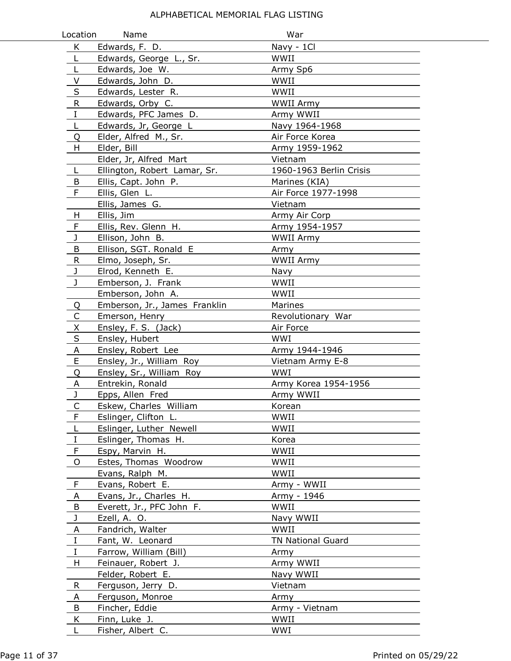| Location       | Name                            | War                      |  |
|----------------|---------------------------------|--------------------------|--|
| K              | Edwards, F. D.                  | Navy - 1Cl               |  |
| L              | Edwards, George L., Sr.         | WWII                     |  |
| L              | Edwards, Joe W.                 | Army Sp6                 |  |
| V              | Edwards, John D.                | WWII                     |  |
| $\sf S$        | Edwards, Lester R.              | WWII                     |  |
| ${\sf R}$      | Edwards, Orby C.                | <b>WWII Army</b>         |  |
| I              | Edwards, PFC James D.           | Army WWII                |  |
| L              | Edwards, Jr, George L           | Navy 1964-1968           |  |
| Q              | Elder, Alfred M., Sr.           | Air Force Korea          |  |
| H              | Elder, Bill                     | Army 1959-1962           |  |
|                | Elder, Jr, Alfred Mart          | Vietnam                  |  |
| L              | Ellington, Robert Lamar, Sr.    | 1960-1963 Berlin Crisis  |  |
| B              | Ellis, Capt. John P.            | Marines (KIA)            |  |
| F              | Ellis, Glen L.                  | Air Force 1977-1998      |  |
|                | Ellis, James G.                 | Vietnam                  |  |
| H              | Ellis, Jim                      | Army Air Corp            |  |
| F              | Ellis, Rev. Glenn H.            | Army 1954-1957           |  |
| J              | Ellison, John B.                | <b>WWII Army</b>         |  |
| В              | Ellison, SGT. Ronald E          | Army                     |  |
| R.             | Elmo, Joseph, Sr.               | <b>WWII Army</b>         |  |
| J              | Elrod, Kenneth E.               | Navy                     |  |
| $\mathbf{J}$   | Emberson, J. Frank              | WWII                     |  |
|                | Emberson, John A.               | WWII                     |  |
| Q              | Emberson, Jr., James Franklin   | Marines                  |  |
| C              | Emerson, Henry                  | Revolutionary War        |  |
| X              | Ensley, F. S. (Jack)            | Air Force                |  |
| S              | Ensley, Hubert                  | WWI                      |  |
| $\overline{A}$ | Ensley, Robert Lee              | Army 1944-1946           |  |
| E              | Ensley, Jr., William Roy        | Vietnam Army E-8         |  |
| Q              | Ensley, Sr., William Roy        | WWI                      |  |
| Α              | Entrekin, Ronald                | Army Korea 1954-1956     |  |
| J              | Epps, Allen Fred                | Army WWII                |  |
| Ć              | Eskew, Charles William          | Korean                   |  |
| F              | Eslinger, Clifton L.            | WWII                     |  |
| L              | Eslinger, Luther Newell         | WWII                     |  |
| $\rm I$        | Eslinger, Thomas H.             | Korea                    |  |
| F              | Espy, Marvin H.                 | WWII                     |  |
| 0              | Estes, Thomas Woodrow           | WWII                     |  |
|                | Evans, Ralph M.                 | WWII                     |  |
| F              | Evans, Robert E.                | Army - WWII              |  |
| A              | Evans, Jr., Charles H.          | Army - 1946              |  |
| B              | Everett, Jr., PFC John F.       | WWII                     |  |
| J              | Ezell, A. O.                    | Navy WWII                |  |
| A              | Fandrich, Walter                | WWII                     |  |
| I              | Fant, W. Leonard                | <b>TN National Guard</b> |  |
| Ι.             | Farrow, William (Bill)          | Army                     |  |
| H              | Feinauer, Robert J.             | Army WWII                |  |
|                | Felder, Robert E.               | Navy WWII                |  |
| R              | Ferguson, Jerry D.              | Vietnam                  |  |
| A              | Ferguson, Monroe                | Army                     |  |
| B<br>Κ         | Fincher, Eddie<br>Finn, Luke J. | Army - Vietnam<br>WWII   |  |
| L              | Fisher, Albert C.               | WWI                      |  |
|                |                                 |                          |  |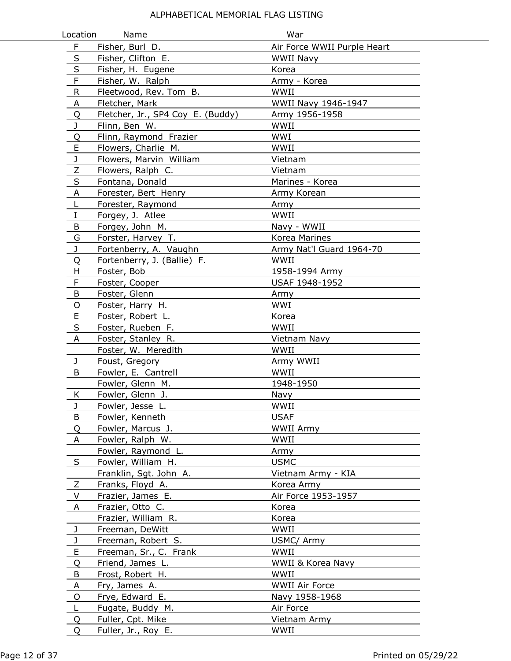| Location       | Name                              | War                         |  |
|----------------|-----------------------------------|-----------------------------|--|
| $\mathsf F$    | Fisher, Burl D.                   | Air Force WWII Purple Heart |  |
| $\sf S$        | Fisher, Clifton E.                | <b>WWII Navy</b>            |  |
| $\sf S$        | Fisher, H. Eugene                 | Korea                       |  |
| F              | Fisher, W. Ralph                  | Army - Korea                |  |
| ${\sf R}$      | Fleetwood, Rev. Tom B.            | WWII                        |  |
| A              | Fletcher, Mark                    | WWII Navy 1946-1947         |  |
| Q              | Fletcher, Jr., SP4 Coy E. (Buddy) | Army 1956-1958              |  |
| J              | Flinn, Ben W.                     | WWII                        |  |
| Q              | Flinn, Raymond Frazier            | WWI                         |  |
| E              | Flowers, Charlie M.               | WWII                        |  |
| J              | Flowers, Marvin William           | Vietnam                     |  |
| $\overline{z}$ | Flowers, Ralph C.                 | Vietnam                     |  |
| S              | Fontana, Donald                   | Marines - Korea             |  |
| $\overline{A}$ | Forester, Bert Henry              | Army Korean                 |  |
| L              | Forester, Raymond                 | Army                        |  |
| $\bf{I}$       | Forgey, J. Atlee                  | WWII                        |  |
| B              | Forgey, John M.                   | Navy - WWII                 |  |
| G              | Forster, Harvey T.                | Korea Marines               |  |
| J              | Fortenberry, A. Vaughn            | Army Nat'l Guard 1964-70    |  |
| Q              | Fortenberry, J. (Ballie) F.       | WWII                        |  |
| H              | Foster, Bob                       | 1958-1994 Army              |  |
| F              | Foster, Cooper                    | USAF 1948-1952              |  |
| B              | Foster, Glenn                     | Army                        |  |
| O              | Foster, Harry H.                  | WWI                         |  |
| E              | Foster, Robert L.                 | Korea                       |  |
| S              | Foster, Rueben F.                 | WWII                        |  |
| A              | Foster, Stanley R.                | Vietnam Navy                |  |
|                | Foster, W. Meredith               | WWII                        |  |
| J              | Foust, Gregory                    | Army WWII                   |  |
| B              | Fowler, E. Cantrell               | WWII                        |  |
|                | Fowler, Glenn M.                  | 1948-1950                   |  |
| K              | Fowler, Glenn J.                  | Navy                        |  |
| J              | Fowler, Jesse L.                  | WWII                        |  |
| B              | Fowler, Kenneth                   | <b>USAF</b>                 |  |
| Q              | Fowler, Marcus J.                 | WWII Army                   |  |
| A              | Fowler, Ralph W.                  | WWII                        |  |
|                | Fowler, Raymond L.                | Army                        |  |
| S              | Fowler, William H.                | <b>USMC</b>                 |  |
|                | Franklin, Sgt. John A.            | Vietnam Army - KIA          |  |
| Ζ              | Franks, Floyd A.                  | Korea Army                  |  |
| V              | Frazier, James E.                 | Air Force 1953-1957         |  |
| A              | Frazier, Otto C.                  | Korea                       |  |
|                | Frazier, William R.               | Korea                       |  |
| J              | Freeman, DeWitt                   | WWII                        |  |
| J              | Freeman, Robert S.                | USMC/ Army                  |  |
| E              | Freeman, Sr., C. Frank            | WWII                        |  |
| Q              | Friend, James L.                  | WWII & Korea Navy           |  |
| B              | Frost, Robert H.                  | WWII                        |  |
| A              | Fry, James A.                     | <b>WWII Air Force</b>       |  |
| $\circ$        | Frye, Edward E.                   | Navy 1958-1968              |  |
| L              | Fugate, Buddy M.                  | Air Force                   |  |
| Q              | Fuller, Cpt. Mike                 | Vietnam Army                |  |
| 0              | Fuller, Jr., Roy E.               | WWII                        |  |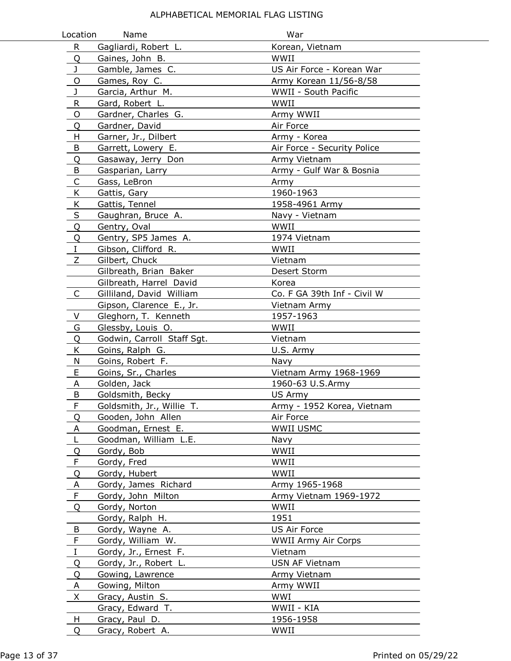| Location     | Name                       | War                         |
|--------------|----------------------------|-----------------------------|
| $\mathsf{R}$ | Gagliardi, Robert L.       | Korean, Vietnam             |
| Q            | Gaines, John B.            | WWII                        |
| J            | Gamble, James C.           | US Air Force - Korean War   |
| O            | Games, Roy C.              | Army Korean 11/56-8/58      |
| J            | Garcia, Arthur M.          | WWII - South Pacific        |
| R            | Gard, Robert L.            | WWII                        |
| O            | Gardner, Charles G.        | Army WWII                   |
| Q            | Gardner, David             | Air Force                   |
| н            | Garner, Jr., Dilbert       | Army - Korea                |
| B            | Garrett, Lowery E.         | Air Force - Security Police |
| Q            | Gasaway, Jerry Don         | Army Vietnam                |
| B            | Gasparian, Larry           | Army - Gulf War & Bosnia    |
| C            | Gass, LeBron               | Army                        |
| K            | Gattis, Gary               | 1960-1963                   |
| K            | Gattis, Tennel             | 1958-4961 Army              |
| $\sf S$      | Gaughran, Bruce A.         | Navy - Vietnam              |
| Q            | Gentry, Oval               | WWII                        |
| Q            | Gentry, SP5 James A.       | 1974 Vietnam                |
| $\rm I$      | Gibson, Clifford R.        | WWII                        |
| Z            | Gilbert, Chuck             | Vietnam                     |
|              | Gilbreath, Brian Baker     | Desert Storm                |
|              | Gilbreath, Harrel David    | Korea                       |
| $\mathsf{C}$ | Gilliland, David William   | Co. F GA 39th Inf - Civil W |
|              | Gipson, Clarence E., Jr.   | Vietnam Army                |
| V            | Gleghorn, T. Kenneth       | 1957-1963                   |
| G            | Glessby, Louis O.          | WWII                        |
| Q            | Godwin, Carroll Staff Sgt. | Vietnam                     |
| K            | Goins, Ralph G.            | U.S. Army                   |
| N            | Goins, Robert F.           | Navy                        |
| E            | Goins, Sr., Charles        | Vietnam Army 1968-1969      |
| A            | Golden, Jack               | 1960-63 U.S.Army            |
| B            | Goldsmith, Becky           | US Army                     |
| F            | Goldsmith, Jr., Willie T.  | Army - 1952 Korea, Vietnam  |
| Q            | Gooden, John Allen         | Air Force                   |
| A            | Goodman, Ernest E.         | WWII USMC                   |
| L            | Goodman, William L.E.      | Navy                        |
| Q            | Gordy, Bob                 | WWII                        |
| F            | Gordy, Fred                | WWII                        |
| Q            | Gordy, Hubert              | WWII                        |
| A            | Gordy, James Richard       | Army 1965-1968              |
| $\mathsf F$  | Gordy, John Milton         | Army Vietnam 1969-1972      |
| Q            | Gordy, Norton              | WWII                        |
|              | Gordy, Ralph H.            | 1951                        |
| B            | Gordy, Wayne A.            | US Air Force                |
| F            | Gordy, William W.          | <b>WWII Army Air Corps</b>  |
| $\mathbf I$  | Gordy, Jr., Ernest F.      | Vietnam                     |
| Q            | Gordy, Jr., Robert L.      | USN AF Vietnam              |
| Q            | Gowing, Lawrence           | Army Vietnam                |
| A            | Gowing, Milton             | Army WWII                   |
| X            | Gracy, Austin S.           | WWI                         |
|              | Gracy, Edward T.           | WWII - KIA                  |
| H            | Gracy, Paul D.             | 1956-1958                   |
| Q            | Gracy, Robert A.           | WWII                        |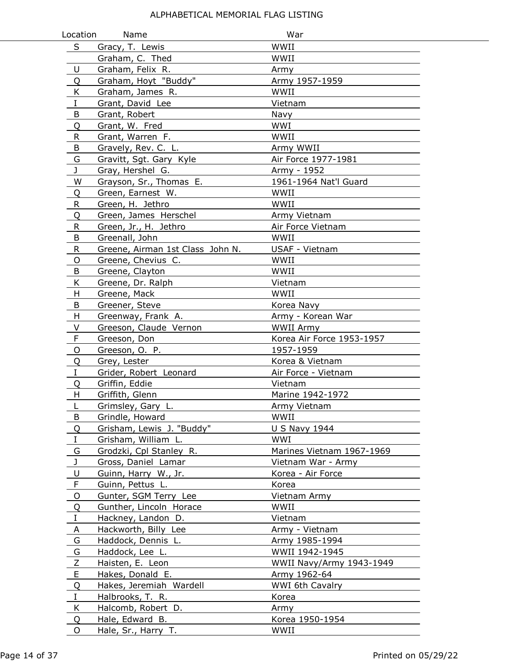| Location    | Name                             | War                       |
|-------------|----------------------------------|---------------------------|
| S           | Gracy, T. Lewis                  | WWII                      |
|             | Graham, C. Thed                  | WWII                      |
| U           | Graham, Felix R.                 | Army                      |
| Q           | Graham, Hoyt "Buddy"             | Army 1957-1959            |
| K           | Graham, James R.                 | WWII                      |
| $\rm I$     | Grant, David Lee                 | Vietnam                   |
| B           | Grant, Robert                    | Navy                      |
| Q           | Grant, W. Fred                   | WWI                       |
| R           | Grant, Warren F.                 | WWII                      |
| B           | Gravely, Rev. C. L.              | Army WWII                 |
| G           | Gravitt, Sgt. Gary Kyle          | Air Force 1977-1981       |
| J           | Gray, Hershel G.                 | Army - 1952               |
| W           | Grayson, Sr., Thomas E.          | 1961-1964 Nat'l Guard     |
| Q           | Green, Earnest W.                | WWII                      |
| R           | Green, H. Jethro                 | WWII                      |
| Q           | Green, James Herschel            | Army Vietnam              |
| R           | Green, Jr., H. Jethro            | Air Force Vietnam         |
| B           | Greenall, John                   | WWII                      |
| R           | Greene, Airman 1st Class John N. | USAF - Vietnam            |
| O           | Greene, Chevius C.               | WWII                      |
| B           | Greene, Clayton                  | WWII                      |
| K           | Greene, Dr. Ralph                | Vietnam                   |
| н           | Greene, Mack                     | WWII                      |
| B           | Greener, Steve                   | Korea Navy                |
| H           | Greenway, Frank A.               | Army - Korean War         |
| V           | Greeson, Claude Vernon           | WWII Army                 |
| F           | Greeson, Don                     | Korea Air Force 1953-1957 |
| O           | Greeson, O. P.                   | 1957-1959                 |
| Q           | Grey, Lester                     | Korea & Vietnam           |
| $\bf{I}$    | Grider, Robert Leonard           | Air Force - Vietnam       |
| Q           | Griffin, Eddie                   | Vietnam                   |
| Н           | Griffith, Glenn                  | Marine 1942-1972          |
| L           | Grimsley, Gary L.                | Army Vietnam              |
| B           | Grindle, Howard                  | WWII                      |
| Q           | Grisham, Lewis J. "Buddy"        | <b>U S Navy 1944</b>      |
| Ι           | Grisham, William L.              | WWI                       |
| G           | Grodzki, Cpl Stanley R.          | Marines Vietnam 1967-1969 |
| J           | Gross, Daniel Lamar              | Vietnam War - Army        |
| U           | Guinn, Harry W., Jr.             | Korea - Air Force         |
| F           | Guinn, Pettus L.                 | Korea                     |
| O           | Gunter, SGM Terry Lee            | Vietnam Army              |
| Q           | Gunther, Lincoln Horace          | WWII                      |
| $\mathbf I$ | Hackney, Landon D.               | Vietnam                   |
| A           | Hackworth, Billy Lee             | Army - Vietnam            |
| G           | Haddock, Dennis L.               | Army 1985-1994            |
| G           | Haddock, Lee L.                  | WWII 1942-1945            |
| Z           | Haisten, E. Leon                 | WWII Navy/Army 1943-1949  |
| E           | Hakes, Donald E.                 | Army 1962-64              |
| Q           | Hakes, Jeremiah Wardell          | WWI 6th Cavalry           |
| Ι.          | Halbrooks, T. R.                 | Korea                     |
| K           | Halcomb, Robert D.               | Army                      |
| Q           | Hale, Edward B.                  | Korea 1950-1954           |
| O           | Hale, Sr., Harry T.              | WWII                      |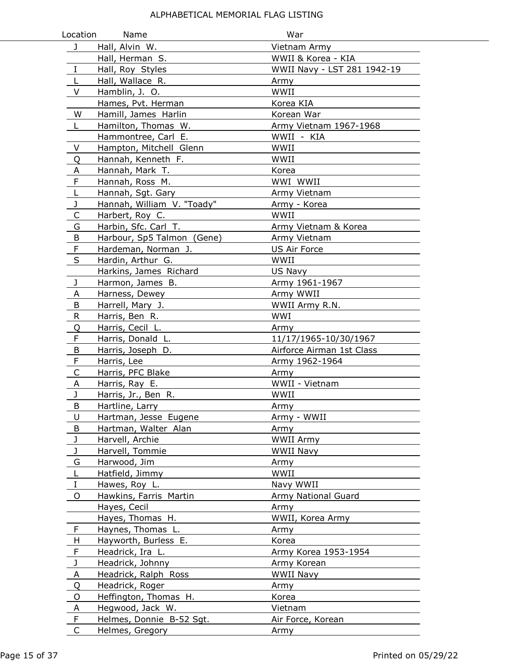| Location       | Name                       | War                         |
|----------------|----------------------------|-----------------------------|
| J              | Hall, Alvin W.             | Vietnam Army                |
|                | Hall, Herman S.            | WWII & Korea - KIA          |
| $\bf I$        | Hall, Roy Styles           | WWII Navy - LST 281 1942-19 |
| L              | Hall, Wallace R.           | Army                        |
| $\vee$         | Hamblin, J. O.             | WWII                        |
|                | Hames, Pvt. Herman         | Korea KIA                   |
| W              | Hamill, James Harlin       | Korean War                  |
| L.             | Hamilton, Thomas W.        | Army Vietnam 1967-1968      |
|                | Hammontree, Carl E.        | WWII - KIA                  |
| V              | Hampton, Mitchell Glenn    | WWII                        |
| Q              | Hannah, Kenneth F.         | WWII                        |
| A              | Hannah, Mark T.            | Korea                       |
| $\overline{F}$ | Hannah, Ross M.            | WWI WWII                    |
| $\overline{L}$ | Hannah, Sgt. Gary          | Army Vietnam                |
| J              | Hannah, William V. "Toady" | Army - Korea                |
| C              | Harbert, Roy C.            | WWII                        |
| G              | Harbin, Sfc. Carl T.       | Army Vietnam & Korea        |
| B              | Harbour, Sp5 Talmon (Gene) | Army Vietnam                |
| F              | Hardeman, Norman J.        | <b>US Air Force</b>         |
| $\sf S$        | Hardin, Arthur G.          | WWII                        |
|                | Harkins, James Richard     | US Navy                     |
| J              | Harmon, James B.           | Army 1961-1967              |
| A              | Harness, Dewey             | Army WWII                   |
| B              | Harrell, Mary J.           | WWII Army R.N.              |
| R              | Harris, Ben R.             | WWI                         |
| Q              | Harris, Cecil L.           | Army                        |
| F              | Harris, Donald L.          | 11/17/1965-10/30/1967       |
| B              | Harris, Joseph D.          | Airforce Airman 1st Class   |
| F              | Harris, Lee                | Army 1962-1964              |
| $\mathsf C$    | Harris, PFC Blake          | Army                        |
| Α              | Harris, Ray E.             | WWII - Vietnam              |
| J              | Harris, Jr., Ben R.        | WWII                        |
| B              | Hartline, Larry            | Army                        |
| U              | Hartman, Jesse Eugene      | Army - WWII                 |
| B              | Hartman, Walter Alan       | Army                        |
| J              | Harvell, Archie            | WWII Army                   |
| J              | Harvell, Tommie            | WWII Navy                   |
| G              | Harwood, Jim               | Army                        |
| L              | Hatfield, Jimmy            | WWII                        |
| I              | Hawes, Roy L.              | Navy WWII                   |
| 0              | Hawkins, Farris Martin     | Army National Guard         |
|                | Hayes, Cecil               | Army                        |
|                | Hayes, Thomas H.           | WWII, Korea Army            |
| $\mathsf{F}$   | Haynes, Thomas L.          | Army                        |
| H              | Hayworth, Burless E.       | Korea                       |
| F              | Headrick, Ira L.           | Army Korea 1953-1954        |
| J              | Headrick, Johnny           | Army Korean                 |
| A              | Headrick, Ralph Ross       | WWII Navy                   |
| Q              | Headrick, Roger            | Army                        |
| O              | Heffington, Thomas H.      | Korea                       |
| A              | Hegwood, Jack W.           | Vietnam                     |
| F              | Helmes, Donnie B-52 Sgt.   | Air Force, Korean           |
| C              | Helmes, Gregory            | Army                        |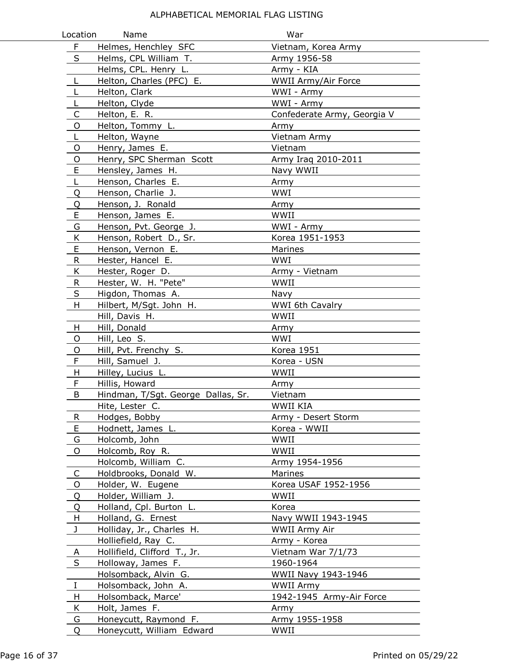| Location     | Name                               | War                         |
|--------------|------------------------------------|-----------------------------|
| $\mathsf{F}$ | Helmes, Henchley SFC               | Vietnam, Korea Army         |
| S            | Helms, CPL William T.              | Army 1956-58                |
|              | Helms, CPL. Henry L.               | Army - KIA                  |
| L            | Helton, Charles (PFC) E.           | WWII Army/Air Force         |
| L            | Helton, Clark                      | WWI - Army                  |
| L            | Helton, Clyde                      | WWI - Army                  |
| C            | Helton, E. R.                      | Confederate Army, Georgia V |
| O            | Helton, Tommy L.                   | Army                        |
| L            | Helton, Wayne                      | Vietnam Army                |
| O            | Henry, James E.                    | Vietnam                     |
| $\mathsf O$  | Henry, SPC Sherman Scott           | Army Iraq 2010-2011         |
| $\mathsf E$  | Hensley, James H.                  | Navy WWII                   |
| L            | Henson, Charles E.                 | Army                        |
| Q            | Henson, Charlie J.                 | WWI                         |
| Q            | Henson, J. Ronald                  | Army                        |
| E            | Henson, James E.                   | WWII                        |
| G            | Henson, Pvt. George J.             | WWI - Army                  |
| K            | Henson, Robert D., Sr.             | Korea 1951-1953             |
| E            | Henson, Vernon E.                  | Marines                     |
| R            | Hester, Hancel E.                  | <b>WWI</b>                  |
| K            | Hester, Roger D.                   | Army - Vietnam              |
| $\mathsf{R}$ | Hester, W. H. "Pete"               | WWII                        |
| $\sf S$      | Higdon, Thomas A.                  | Navy                        |
| H            | Hilbert, M/Sgt. John H.            | WWI 6th Cavalry             |
|              | Hill, Davis H.                     | WWII                        |
| H            | Hill, Donald                       | Army                        |
| O            | Hill, Leo S.                       | WWI                         |
| O            | Hill, Pvt. Frenchy S.              | Korea 1951                  |
| F            | Hill, Samuel J.                    | Korea - USN                 |
| H            | Hilley, Lucius L.                  | WWII                        |
| F            | Hillis, Howard                     | Army                        |
| B            | Hindman, T/Sgt. George Dallas, Sr. | Vietnam                     |
|              | Hite, Lester C.                    | WWII KIA                    |
| $\mathsf{R}$ | Hodges, Bobby                      | Army - Desert Storm         |
| E            | Hodnett, James L.                  | Korea - WWII                |
| G            | Holcomb, John                      | WWII                        |
| O            | Holcomb, Roy R.                    | WWII                        |
|              | Holcomb, William C.                | Army 1954-1956              |
| C            | Holdbrooks, Donald W.              | Marines                     |
| O            | Holder, W. Eugene                  | Korea USAF 1952-1956        |
| Q            | Holder, William J.                 | WWII                        |
| Q            | Holland, Cpl. Burton L.            | Korea                       |
| H            | Holland, G. Ernest                 | Navy WWII 1943-1945         |
| J            | Holliday, Jr., Charles H.          | WWII Army Air               |
|              | Holliefield, Ray C.                | Army - Korea                |
| $\mathsf{A}$ | Hollifield, Clifford T., Jr.       | Vietnam War 7/1/73          |
| S            | Holloway, James F.                 | 1960-1964                   |
|              | Holsomback, Alvin G.               | WWII Navy 1943-1946         |
| $\mathbf{I}$ | Holsomback, John A.                | <b>WWII Army</b>            |
| H            | Holsomback, Marce'                 | 1942-1945 Army-Air Force    |
| K            | Holt, James F.                     | Army                        |
| G            | Honeycutt, Raymond F.              | Army 1955-1958              |
| Q            | Honeycutt, William Edward          | WWII                        |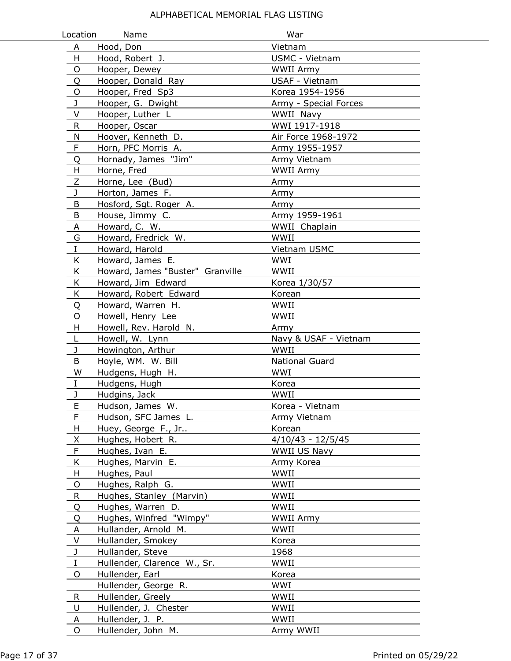| Location        | Name                             | War                   |
|-----------------|----------------------------------|-----------------------|
| A               | Hood, Don                        | Vietnam               |
| H               | Hood, Robert J.                  | USMC - Vietnam        |
| O               | Hooper, Dewey                    | <b>WWII Army</b>      |
| Q               | Hooper, Donald Ray               | USAF - Vietnam        |
| O               | Hooper, Fred Sp3                 | Korea 1954-1956       |
| J               | Hooper, G. Dwight                | Army - Special Forces |
| V               | Hooper, Luther L                 | WWII Navy             |
| R.              | Hooper, Oscar                    | WWI 1917-1918         |
| N               | Hoover, Kenneth D.               | Air Force 1968-1972   |
| F               | Horn, PFC Morris A.              | Army 1955-1957        |
| Q               | Hornady, James "Jim"             | Army Vietnam          |
| H               | Horne, Fred                      | <b>WWII Army</b>      |
| Ζ               | Horne, Lee (Bud)                 | Army                  |
| J               | Horton, James F.                 | Army                  |
| B               | Hosford, Sgt. Roger A.           | Army                  |
| B               | House, Jimmy C.                  | Army 1959-1961        |
| A               | Howard, C. W.                    | WWII Chaplain         |
| G               | Howard, Fredrick W.              | WWII                  |
| I               | Howard, Harold                   | Vietnam USMC          |
| K               | Howard, James E.                 | WWI                   |
| K               | Howard, James "Buster" Granville | WWII                  |
| K               | Howard, Jim Edward               | Korea 1/30/57         |
| K               | Howard, Robert Edward            | Korean                |
| Q               | Howard, Warren H.                | WWII                  |
| O               | Howell, Henry Lee                | WWII                  |
| H               | Howell, Rev. Harold N.           | Army                  |
| L               | Howell, W. Lynn                  | Navy & USAF - Vietnam |
| J               | Howington, Arthur                | WWII                  |
| B               | Hoyle, WM. W. Bill               | National Guard        |
| W               | Hudgens, Hugh H.                 | WWI                   |
| I               | Hudgens, Hugh                    | Korea                 |
| J               | Hudgins, Jack                    | WWII                  |
| Þ               | Hudson, James W.                 | Korea - Vietnam       |
| F               | Hudson, SFC James L.             | Army Vietnam          |
| H               | Huey, George F., Jr              | Korean                |
| $\underline{X}$ | Hughes, Hobert R.                | $4/10/43 - 12/5/45$   |
| F               | Hughes, Ivan E.                  | WWII US Navy          |
| Κ               | Hughes, Marvin E.                | Army Korea            |
| H               | Hughes, Paul                     | WWII                  |
| O               | Hughes, Ralph G.                 | WWII                  |
| R               | Hughes, Stanley (Marvin)         | WWII                  |
| Q               | Hughes, Warren D.                | WWII                  |
| Q               | Hughes, Winfred "Wimpy"          | WWII Army             |
| A               | Hullander, Arnold M.             | WWII                  |
| $\vee$          | Hullander, Smokey                | Korea                 |
| J               | Hullander, Steve                 | 1968                  |
| $\mathbf I$     | Hullender, Clarence W., Sr.      | WWII                  |
| O               | Hullender, Earl                  | Korea                 |
|                 | Hullender, George R.             | WWI                   |
| R               | Hullender, Greely                | WWII                  |
| U               | Hullender, J. Chester            | WWII                  |
| Α               | Hullender, J. P.                 | WWII                  |
| O               | Hullender, John M.               | Army WWII             |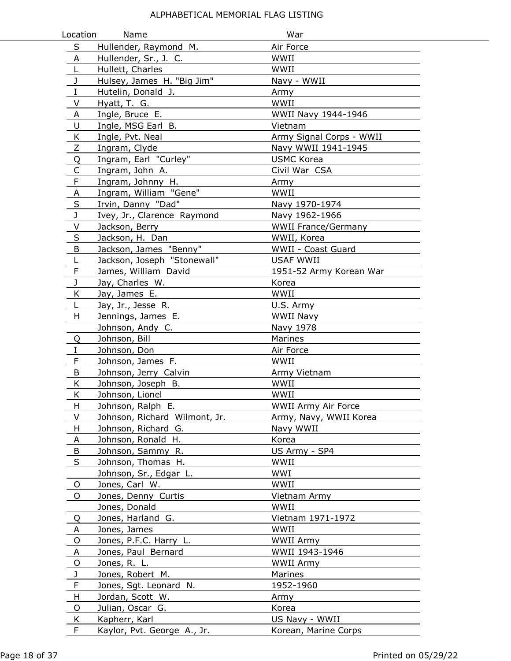| Location                | Name                          | War                        |
|-------------------------|-------------------------------|----------------------------|
| S                       | Hullender, Raymond M.         | Air Force                  |
| A                       | Hullender, Sr., J. C.         | WWII                       |
| L                       | Hullett, Charles              | WWII                       |
| J                       | Hulsey, James H. "Big Jim"    | Navy - WWII                |
| $\rm I$                 | Hutelin, Donald J.            | Army                       |
| V                       | Hyatt, T. G.                  | WWII                       |
| A                       | Ingle, Bruce E.               | WWII Navy 1944-1946        |
| U                       | Ingle, MSG Earl B.            | Vietnam                    |
| <u>K</u>                | Ingle, Pvt. Neal              | Army Signal Corps - WWII   |
| $\mathsf Z$             | Ingram, Clyde                 | Navy WWII 1941-1945        |
| $\overline{Q}$          | Ingram, Earl "Curley"         | <b>USMC Korea</b>          |
| $\mathsf C$             | Ingram, John A.               | Civil War CSA              |
| $\overline{F}$          | Ingram, Johnny H.             | Army                       |
| $\overline{A}$          | Ingram, William "Gene"        | WWII                       |
| $\overline{\mathsf{S}}$ | Irvin, Danny "Dad"            | Navy 1970-1974             |
| $\mathsf J$             | Ivey, Jr., Clarence Raymond   | Navy 1962-1966             |
| V                       | Jackson, Berry                | <b>WWII France/Germany</b> |
| $\sf S$                 | Jackson, H. Dan               | WWII, Korea                |
| B                       | Jackson, James "Benny"        | WWII - Coast Guard         |
| L                       | Jackson, Joseph "Stonewall"   | <b>USAF WWII</b>           |
| F                       | James, William David          | 1951-52 Army Korean War    |
| J                       | Jay, Charles W.               | Korea                      |
| K                       | Jay, James E.                 | WWII                       |
| L                       | Jay, Jr., Jesse R.            | U.S. Army                  |
| H                       | Jennings, James E.            | WWII Navy                  |
|                         | Johnson, Andy C.              | Navy 1978                  |
| Q                       | Johnson, Bill                 | Marines                    |
| I                       | Johnson, Don                  | Air Force                  |
| F                       | Johnson, James F.             | WWII                       |
| B                       | Johnson, Jerry Calvin         | Army Vietnam               |
| K                       | Johnson, Joseph B.            | WWII                       |
| Κ                       | Johnson, Lionel               | WWII                       |
| H                       | Johnson, Ralph E.             | <b>WWII Army Air Force</b> |
| V                       | Johnson, Richard Wilmont, Jr. | Army, Navy, WWII Korea     |
| H                       | Johnson, Richard G.           | Navy WWII                  |
| Α                       | Johnson, Ronald H.            | Korea                      |
| B                       | Johnson, Sammy R.             | US Army - SP4              |
| $\sf S$                 | Johnson, Thomas H.            | WWII                       |
|                         | Johnson, Sr., Edgar L.        | WWI                        |
| O                       | Jones, Carl W.                | WWII                       |
| O                       | Jones, Denny Curtis           | Vietnam Army               |
|                         | Jones, Donald                 | WWII                       |
| Q                       | Jones, Harland G.             | Vietnam 1971-1972          |
| Α                       | Jones, James                  | WWII                       |
| O                       | Jones, P.F.C. Harry L.        | WWII Army                  |
| A                       | Jones, Paul Bernard           | WWII 1943-1946             |
| O                       | Jones, R. L.                  | WWII Army                  |
| J                       | Jones, Robert M.              | Marines                    |
| F                       | Jones, Sgt. Leonard N.        | 1952-1960                  |
| H                       | Jordan, Scott W.              | Army                       |
| O                       | Julian, Oscar G.              | Korea                      |
| K                       | Kapherr, Karl                 | US Navy - WWII             |
| F                       | Kaylor, Pvt. George A., Jr.   | Korean, Marine Corps       |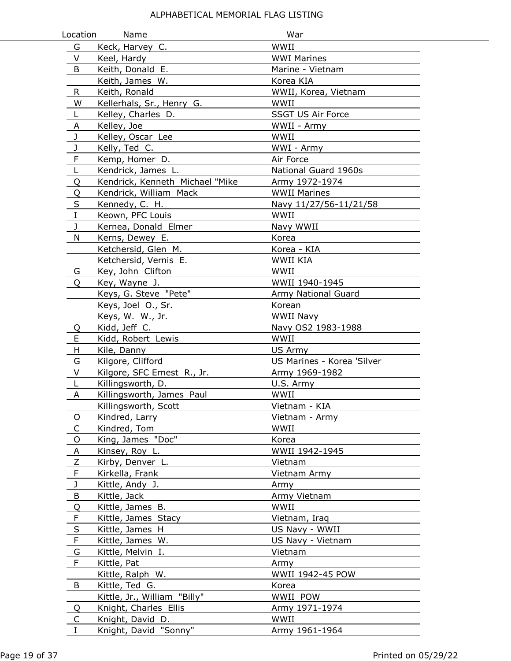| Location                | Name                                      | War                        |
|-------------------------|-------------------------------------------|----------------------------|
| G                       | Keck, Harvey C.                           | WWII                       |
| V                       | Keel, Hardy                               | <b>WWI Marines</b>         |
| B                       | Keith, Donald E.                          | Marine - Vietnam           |
|                         | Keith, James W.                           | Korea KIA                  |
| R                       | Keith, Ronald                             | WWII, Korea, Vietnam       |
| W                       | Kellerhals, Sr., Henry G.                 | WWII                       |
| L                       | Kelley, Charles D.                        | SSGT US Air Force          |
| Α                       | Kelley, Joe                               | WWII - Army                |
| J                       | Kelley, Oscar Lee                         | WWII                       |
| J                       | Kelly, Ted C.                             | WWI - Army                 |
| $\mathsf F$             | Kemp, Homer D.                            | Air Force                  |
| L                       | Kendrick, James L.                        | National Guard 1960s       |
| Q                       | Kendrick, Kenneth Michael "Mike           | Army 1972-1974             |
| Q                       | Kendrick, William Mack                    | <b>WWII Marines</b>        |
| $\overline{\mathsf{S}}$ | Kennedy, C. H.                            | Navy 11/27/56-11/21/58     |
| $\mathbf I$             | Keown, PFC Louis                          | WWII                       |
| J                       | Kernea, Donald Elmer                      | Navy WWII                  |
| N                       | Kerns, Dewey E.                           | Korea                      |
|                         | Ketchersid, Glen M.                       | Korea - KIA                |
|                         | Ketchersid, Vernis E.                     | WWII KIA                   |
| G                       | Key, John Clifton                         | WWII                       |
| O                       | Key, Wayne J.                             | WWII 1940-1945             |
|                         | Keys, G. Steve "Pete"                     | Army National Guard        |
|                         | Keys, Joel O., Sr.                        | Korean                     |
|                         | Keys, W. W., Jr.                          | WWII Navy                  |
| Q                       | Kidd, Jeff C.                             | Navy OS2 1983-1988         |
| E                       | Kidd, Robert Lewis                        | WWII                       |
| H                       | Kile, Danny                               | US Army                    |
| G                       | Kilgore, Clifford                         | US Marines - Korea 'Silver |
| V                       | Kilgore, SFC Ernest R., Jr.               | Army 1969-1982             |
| L                       | Killingsworth, D.                         | U.S. Army                  |
| Α                       | Killingsworth, James Paul                 | WWII                       |
|                         | Killingsworth, Scott                      | Vietnam - KIA              |
| O                       | Kindred, Larry                            | Vietnam - Army             |
| $\mathsf{C}$            | Kindred, Tom                              | WWII                       |
| $\mathsf O$             | King, James "Doc"                         | Korea                      |
| A                       | Kinsey, Roy L.                            | WWII 1942-1945             |
| Ζ                       | Kirby, Denver L.                          | Vietnam                    |
| $\mathsf F$             | Kirkella, Frank                           | Vietnam Army               |
| J                       | Kittle, Andy J.                           | Army                       |
| B                       | Kittle, Jack                              | Army Vietnam               |
| Q                       | Kittle, James B.                          | WWII                       |
| F                       | Kittle, James Stacy                       | Vietnam, Iraq              |
| $\sf S$                 | Kittle, James H                           | US Navy - WWII             |
| $\mathsf F$             | Kittle, James W.                          | US Navy - Vietnam          |
| G                       | Kittle, Melvin I.                         | Vietnam                    |
| F                       | Kittle, Pat                               | Army                       |
|                         | Kittle, Ralph W.                          | WWII 1942-45 POW           |
| B                       | Kittle, Ted G.                            | Korea                      |
|                         | Kittle, Jr., William "Billy"              | WWII POW                   |
| Q                       | Knight, Charles Ellis                     | Army 1971-1974             |
| C<br>$\mathbf I$        | Knight, David D.<br>Knight, David "Sonny" | WWII<br>Army 1961-1964     |
|                         |                                           |                            |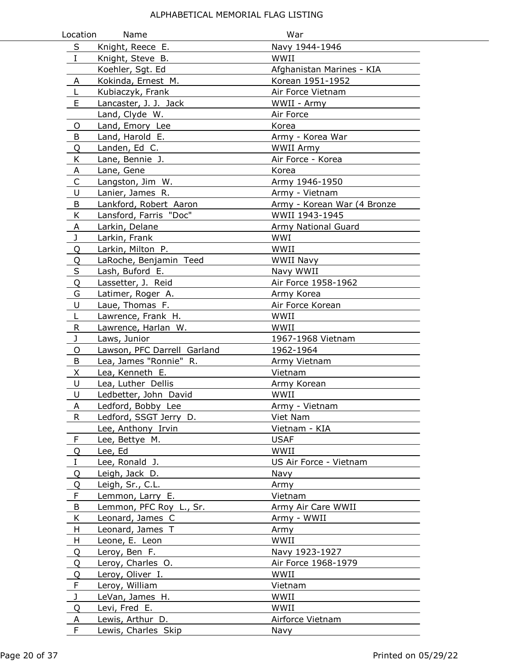| Location     | Name                        | War                         |
|--------------|-----------------------------|-----------------------------|
| S            | Knight, Reece E.            | Navy 1944-1946              |
| $\mathbf{I}$ | Knight, Steve B.            | WWII                        |
|              | Koehler, Sgt. Ed            | Afghanistan Marines - KIA   |
| Α            | Kokinda, Ernest M.          | Korean 1951-1952            |
| L            | Kubiaczyk, Frank            | Air Force Vietnam           |
| E            | Lancaster, J. J. Jack       | WWII - Army                 |
|              | Land, Clyde W.              | Air Force                   |
| O            | Land, Emory Lee             | Korea                       |
| B            | Land, Harold E.             | Army - Korea War            |
| Q            | Landen, Ed C.               | WWII Army                   |
| K            | Lane, Bennie J.             | Air Force - Korea           |
| A            | Lane, Gene                  | Korea                       |
| $\mathsf{C}$ | Langston, Jim W.            | Army 1946-1950              |
| U            | Lanier, James R.            | Army - Vietnam              |
| B            | Lankford, Robert Aaron      | Army - Korean War (4 Bronze |
| K            | Lansford, Farris "Doc"      | WWII 1943-1945              |
| A            | Larkin, Delane              | Army National Guard         |
| J            | Larkin, Frank               | WWI                         |
| Q            | Larkin, Milton P.           | WWII                        |
| Q            | LaRoche, Benjamin Teed      | <b>WWII Navy</b>            |
| $\sf S$      | Lash, Buford E.             | Navy WWII                   |
| Q            | Lassetter, J. Reid          | Air Force 1958-1962         |
| G            | Latimer, Roger A.           | Army Korea                  |
| U            | Laue, Thomas F.             | Air Force Korean            |
| L            | Lawrence, Frank H.          | WWII                        |
| $\mathsf R$  | Lawrence, Harlan W.         | WWII                        |
| J            | Laws, Junior                | 1967-1968 Vietnam           |
| O            | Lawson, PFC Darrell Garland | 1962-1964                   |
| B            | Lea, James "Ronnie" R.      | Army Vietnam                |
| X.           | Lea, Kenneth E.             | Vietnam                     |
| U            | Lea, Luther Dellis          | Army Korean                 |
| U            | Ledbetter, John David       | WWII                        |
| A            | Ledford, Bobby Lee          | Army - Vietnam              |
| R.           | Ledford, SSGT Jerry D.      | Viet Nam                    |
|              | Lee, Anthony Irvin          | Vietnam - KIA               |
| $\mathsf F$  | Lee, Bettye M.              | <b>USAF</b>                 |
| Q            | Lee, Ed                     | WWII                        |
| Ι.           | Lee, Ronald J.              | US Air Force - Vietnam      |
| Q            | Leigh, Jack D.              | Navy                        |
| Q            | Leigh, Sr., C.L.            | Army                        |
| F            | Lemmon, Larry E.            | Vietnam                     |
| B            | Lemmon, PFC Roy L., Sr.     | Army Air Care WWII          |
| K            | Leonard, James C            | Army - WWII                 |
| H            | Leonard, James T            | Army                        |
| H.           | Leone, E. Leon              | WWII                        |
| Q            | Leroy, Ben F.               | Navy 1923-1927              |
| Q            | Leroy, Charles O.           | Air Force 1968-1979         |
| Q            | Leroy, Oliver I.            | WWII                        |
| F            | Leroy, William              | Vietnam                     |
| $\mathbf{J}$ | LeVan, James H.             | WWII                        |
| Q            | Levi, Fred E.               | WWII                        |
| A            | Lewis, Arthur D.            | Airforce Vietnam            |
| F            | Lewis, Charles Skip         | Navy                        |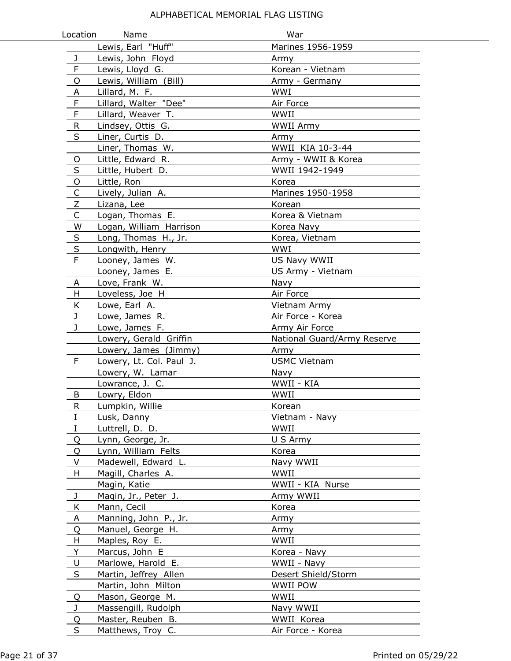| Location       | Name                                   | War                             |  |
|----------------|----------------------------------------|---------------------------------|--|
|                | Lewis, Earl "Huff"                     | Marines 1956-1959               |  |
| $\mathbf{J}$   | Lewis, John Floyd                      | Army                            |  |
| F              | Lewis, Lloyd G.                        | Korean - Vietnam                |  |
| O              | Lewis, William (Bill)                  | Army - Germany                  |  |
| A              | Lillard, M. F.                         | WWI                             |  |
| F              | Lillard, Walter "Dee"                  | Air Force                       |  |
| $\mathsf F$    | Lillard, Weaver T.                     | WWII                            |  |
| $\mathsf{R}$   | Lindsey, Ottis G.                      | <b>WWII Army</b>                |  |
| S              | Liner, Curtis D.                       | Army                            |  |
|                | Liner, Thomas W.                       | WWII KIA 10-3-44                |  |
| $\mathsf{O}$   | Little, Edward R.                      | Army - WWII & Korea             |  |
| S              | Little, Hubert D.                      | WWII 1942-1949                  |  |
| $\mathsf O$    | Little, Ron                            | Korea                           |  |
| $\overline{C}$ | Lively, Julian A.                      | Marines 1950-1958               |  |
| $\overline{z}$ | Lizana, Lee                            | Korean                          |  |
| $\mathsf C$    | Logan, Thomas E.                       | Korea & Vietnam                 |  |
| W              | Logan, William Harrison                | Korea Navy                      |  |
| $\sf S$        | Long, Thomas H., Jr.                   | Korea, Vietnam                  |  |
| $\sf S$        | Longwith, Henry                        | <b>WWI</b>                      |  |
| $\mathsf F$    | Looney, James W.                       | US Navy WWII                    |  |
|                | Looney, James E.                       | US Army - Vietnam               |  |
| A              | Love, Frank W.                         | Navy                            |  |
| H              | Loveless, Joe H                        | Air Force                       |  |
| K              | Lowe, Earl A.                          | Vietnam Army                    |  |
| $\mathbf{J}$   | Lowe, James R.                         | Air Force - Korea               |  |
| $\mathbf{J}$   | Lowe, James F.                         | Army Air Force                  |  |
|                | Lowery, Gerald Griffin                 | National Guard/Army Reserve     |  |
|                | Lowery, James (Jimmy)                  | Army                            |  |
| F              | Lowery, Lt. Col. Paul J.               | <b>USMC Vietnam</b>             |  |
|                | Lowery, W. Lamar                       | Navy                            |  |
|                | Lowrance, J. C.                        | WWII - KIA                      |  |
| B              | Lowry, Eldon                           | WWII                            |  |
| R.             | Lumpkin, Willie                        | Korean                          |  |
| I              | Lusk, Danny                            | Vietnam - Navy                  |  |
| $\rm I$        | Luttrell, D. D.                        | WWII                            |  |
| Q              | Lynn, George, Jr.                      | U S Army                        |  |
| Q              | Lynn, William Felts                    | Korea                           |  |
| V              | Madewell, Edward L.                    | Navy WWII                       |  |
| H              | Magill, Charles A.                     | WWII                            |  |
|                | Magin, Katie                           | WWII - KIA Nurse                |  |
| J              | Magin, Jr., Peter J.                   | Army WWII                       |  |
| K              | Mann, Cecil                            | Korea                           |  |
| A              | Manning, John P., Jr.                  | Army                            |  |
| Q              | Manuel, George H.                      | Army                            |  |
| H              | Maples, Roy E.                         | WWII                            |  |
| Y              | Marcus, John E                         | Korea - Navy                    |  |
| U              | Marlowe, Harold E.                     | WWII - Navy                     |  |
| $\sf S$        | Martin, Jeffrey Allen                  | Desert Shield/Storm             |  |
|                | Martin, John Milton                    | <b>WWII POW</b>                 |  |
| Q              | Mason, George M.                       | WWII                            |  |
| $\mathbf{J}$   | Massengill, Rudolph                    | Navy WWII                       |  |
| Q<br>S         | Master, Reuben B.<br>Matthews, Troy C. | WWII Korea<br>Air Force - Korea |  |
|                |                                        |                                 |  |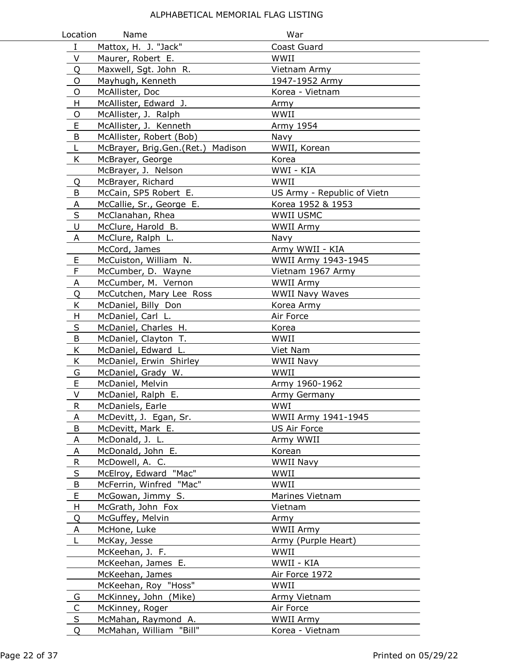| Location     | Name                              | War                         |
|--------------|-----------------------------------|-----------------------------|
| $\mathbf{I}$ | Mattox, H. J. "Jack"              | Coast Guard                 |
| V            | Maurer, Robert E.                 | WWII                        |
| Q            | Maxwell, Sgt. John R.             | Vietnam Army                |
| O            | Mayhugh, Kenneth                  | 1947-1952 Army              |
| O            | McAllister, Doc                   | Korea - Vietnam             |
| H            | McAllister, Edward J.             | Army                        |
| O            | McAllister, J. Ralph              | WWII                        |
| E            | McAllister, J. Kenneth            | Army 1954                   |
| B            | McAllister, Robert (Bob)          | Navy                        |
| L            | McBrayer, Brig.Gen.(Ret.) Madison | WWII, Korean                |
| K            | McBrayer, George                  | Korea                       |
|              | McBrayer, J. Nelson               | WWI - KIA                   |
| Q            | McBrayer, Richard                 | WWII                        |
| B            | McCain, SP5 Robert E.             | US Army - Republic of Vietn |
| A            | McCallie, Sr., George E.          | Korea 1952 & 1953           |
| S            | McClanahan, Rhea                  | <b>WWII USMC</b>            |
| U            | McClure, Harold B.                | WWII Army                   |
| Α            | McClure, Ralph L.                 | Navy                        |
|              | McCord, James                     | Army WWII - KIA             |
| Е            | McCuiston, William N.             | WWII Army 1943-1945         |
| F            | McCumber, D. Wayne                | Vietnam 1967 Army           |
| A            | McCumber, M. Vernon               | WWII Army                   |
| Q            | McCutchen, Mary Lee Ross          | <b>WWII Navy Waves</b>      |
| K            | McDaniel, Billy Don               | Korea Army                  |
| H            | McDaniel, Carl L.                 | Air Force                   |
| $\sf S$      | McDaniel, Charles H.              | Korea                       |
| B            | McDaniel, Clayton T.              | WWII                        |
| K            | McDaniel, Edward L.               | Viet Nam                    |
| K            | McDaniel, Erwin Shirley           | <b>WWII Navy</b>            |
| G            | McDaniel, Grady W.                | WWII                        |
| E            | McDaniel, Melvin                  | Army 1960-1962              |
| V            | McDaniel, Ralph E.                | Army Germany                |
| R            | McDaniels, Earle                  | WWI                         |
| A            | McDevitt, J. Egan, Sr.            | WWII Army 1941-1945         |
| B            | McDevitt, Mark E.                 | <b>US Air Force</b>         |
| A            | McDonald, J. L.                   | Army WWII                   |
| A            | McDonald, John E.                 | Korean                      |
| $\mathsf R$  | McDowell, A. C.                   | WWII Navy                   |
| $\sf S$      | McElroy, Edward "Mac"             | WWII                        |
| B            | McFerrin, Winfred "Mac"           | WWII                        |
| E            | McGowan, Jimmy S.                 | Marines Vietnam             |
| H            | McGrath, John Fox                 | Vietnam                     |
| Q            | McGuffey, Melvin                  | Army                        |
| A            | McHone, Luke                      | WWII Army                   |
| L            | McKay, Jesse                      | Army (Purple Heart)         |
|              | McKeehan, J. F.                   | WWII                        |
|              | McKeehan, James E.                | WWII - KIA                  |
|              | McKeehan, James                   | Air Force 1972              |
|              | McKeehan, Roy "Hoss"              | WWII                        |
| G            | McKinney, John (Mike)             | Army Vietnam                |
| $\mathsf{C}$ | McKinney, Roger                   | Air Force                   |
| $\sf S$      | McMahan, Raymond A.               | <b>WWII Army</b>            |
| Q            | McMahan, William "Bill"           | Korea - Vietnam             |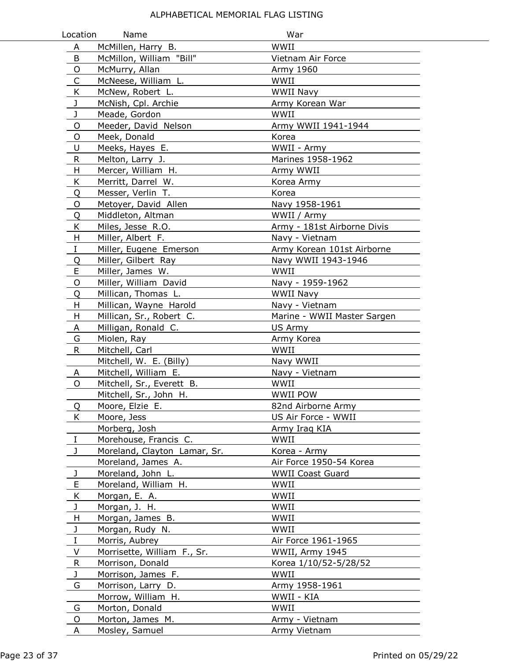| Location    | Name                         | War                         |
|-------------|------------------------------|-----------------------------|
| A           | McMillen, Harry B.           | WWII                        |
| B           | McMillon, William "Bill"     | Vietnam Air Force           |
| O           | McMurry, Allan               | Army 1960                   |
| C           | McNeese, William L.          | WWII                        |
| K           | McNew, Robert L.             | <b>WWII Navy</b>            |
| J           | McNish, Cpl. Archie          | Army Korean War             |
| J           | Meade, Gordon                | WWII                        |
| O           | Meeder, David Nelson         | Army WWII 1941-1944         |
| O           | Meek, Donald                 | Korea                       |
| U           | Meeks, Hayes E.              | WWII - Army                 |
| ${\sf R}$   | Melton, Larry J.             | Marines 1958-1962           |
| H           | Mercer, William H.           | Army WWII                   |
| K           | Merritt, Darrel W.           | Korea Army                  |
| Q           | Messer, Verlin T.            | Korea                       |
| O           | Metoyer, David Allen         | Navy 1958-1961              |
| Q           | Middleton, Altman            | WWII / Army                 |
| K           | Miles, Jesse R.O.            | Army - 181st Airborne Divis |
| H           | Miller, Albert F.            | Navy - Vietnam              |
| I           | Miller, Eugene Emerson       | Army Korean 101st Airborne  |
| Q           | Miller, Gilbert Ray          | Navy WWII 1943-1946         |
| E           | Miller, James W.             | WWII                        |
| $\circ$     | Miller, William David        | Navy - 1959-1962            |
| Q           | Millican, Thomas L.          | WWII Navy                   |
| H           | Millican, Wayne Harold       | Navy - Vietnam              |
| H           | Millican, Sr., Robert C.     | Marine - WWII Master Sargen |
| A           | Milligan, Ronald C.          | US Army                     |
| G           | Miolen, Ray                  | Army Korea                  |
| R           | Mitchell, Carl               | WWII                        |
|             | Mitchell, W. E. (Billy)      | Navy WWII                   |
| A           | Mitchell, William E.         | Navy - Vietnam              |
| O           | Mitchell, Sr., Everett B.    | WWII                        |
|             | Mitchell, Sr., John H.       | WWII POW                    |
| Q           | Moore, Elzie E.              | 82nd Airborne Army          |
| K.          | Moore, Jess                  | US Air Force - WWII         |
|             | Morberg, Josh                | Army Iraq KIA               |
| $\bf{I}$    | Morehouse, Francis C.        | WWII                        |
| J.          | Moreland, Clayton Lamar, Sr. | Korea - Army                |
|             | Moreland, James A.           | Air Force 1950-54 Korea     |
| J           | Moreland, John L.            | <b>WWII Coast Guard</b>     |
| E           | Moreland, William H.         | WWII                        |
| K           | Morgan, E. A.                | WWII                        |
| J           | Morgan, J. H.                | WWII                        |
| H           | Morgan, James B.             | WWII                        |
| J           | Morgan, Rudy N.              | WWII                        |
| I           | Morris, Aubrey               | Air Force 1961-1965         |
| V           | Morrisette, William F., Sr.  | WWII, Army 1945             |
| $\mathsf R$ | Morrison, Donald             | Korea 1/10/52-5/28/52       |
| J           | Morrison, James F.           | WWII                        |
| G           | Morrison, Larry D.           | Army 1958-1961              |
|             | Morrow, William H.           | WWII - KIA                  |
| G           | Morton, Donald               | WWII                        |
| O           | Morton, James M.             | Army - Vietnam              |
| A           | Mosley, Samuel               | Army Vietnam                |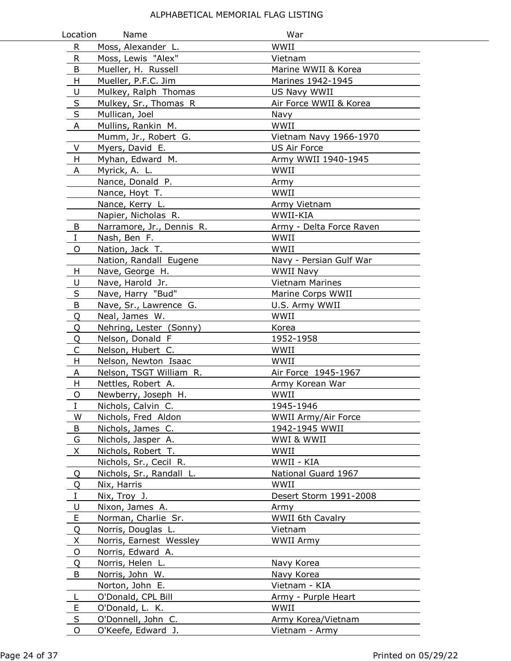| Location    | Name                                  | War                                  |
|-------------|---------------------------------------|--------------------------------------|
| R           | Moss, Alexander L.                    | WWII                                 |
| R           | Moss, Lewis "Alex"                    | Vietnam                              |
| B           | Mueller, H. Russell                   | Marine WWII & Korea                  |
| H           | Mueller, P.F.C. Jim                   | Marines 1942-1945                    |
| U           | Mulkey, Ralph Thomas                  | US Navy WWII                         |
| $\sf S$     | Mulkey, Sr., Thomas R                 | Air Force WWII & Korea               |
| $\sf S$     | Mullican, Joel                        | Navy                                 |
| A           | Mullins, Rankin M.                    | WWII                                 |
|             | Mumm, Jr., Robert G.                  | Vietnam Navy 1966-1970               |
| V           | Myers, David E.                       | <b>US Air Force</b>                  |
| H           | Myhan, Edward M.                      | Army WWII 1940-1945                  |
| A           | Myrick, A. L.                         | WWII                                 |
|             | Nance, Donald P.                      | Army                                 |
|             | Nance, Hoyt T.                        | WWII                                 |
|             | Nance, Kerry L.                       | Army Vietnam                         |
|             | Napier, Nicholas R.                   | WWII-KIA                             |
| B           | Narramore, Jr., Dennis R.             | Army - Delta Force Raven             |
| $\mathbf I$ | Nash, Ben F.                          | WWII                                 |
| 0           | Nation, Jack T.                       | WWII                                 |
|             | Nation, Randall Eugene                | Navy - Persian Gulf War              |
| H           | Nave, George H.                       | <b>WWII Navy</b>                     |
| U           | Nave, Harold Jr.                      | Vietnam Marines                      |
| $\sf S$     | Nave, Harry "Bud"                     | Marine Corps WWII                    |
| $\sf B$     | Nave, Sr., Lawrence G.                | U.S. Army WWII                       |
| Q           | Neal, James W.                        | WWII                                 |
| Q           | Nehring, Lester (Sonny)               | Korea                                |
| Q           | Nelson, Donald F                      | 1952-1958                            |
| $\mathsf C$ | Nelson, Hubert C.                     | WWII                                 |
| H           | Nelson, Newton Isaac                  | WWII                                 |
| A           | Nelson, TSGT William R.               | Air Force 1945-1967                  |
| H           | Nettles, Robert A.                    | Army Korean War                      |
| O           | Newberry, Joseph H.                   | WWII                                 |
| I           | Nichols, Calvin C.                    | 1945-1946                            |
| W           | Nichols, Fred Aldon                   | WWII Army/Air Force                  |
| B           | Nichols, James C.                     | 1942-1945 WWII                       |
| G           | Nichols, Jasper A.                    | WWI & WWII                           |
| X           | Nichols, Robert T.                    | WWII                                 |
|             | Nichols, Sr., Cecil R.                | WWII - KIA                           |
| Q           | Nichols, Sr., Randall L.              | National Guard 1967                  |
| Q           | Nix, Harris                           | WWII                                 |
| Ι           | Nix, Troy J.                          | Desert Storm 1991-2008               |
| U           | Nixon, James A.                       | Army                                 |
| $\mathsf E$ | Norman, Charlie Sr.                   | WWII 6th Cavalry                     |
| Q           | Norris, Douglas L.                    | Vietnam                              |
| X           | Norris, Earnest Wessley               | WWII Army                            |
| O           | Norris, Edward A.                     |                                      |
| Q           | Norris, Helen L.                      | Navy Korea                           |
| B           | Norris, John W.                       | Navy Korea                           |
|             | Norton, John E.                       | Vietnam - KIA                        |
| L           | O'Donald, CPL Bill                    | Army - Purple Heart<br>WWII          |
| E<br>S      | O'Donald, L. K.<br>O'Donnell, John C. |                                      |
| O           | O'Keefe, Edward J.                    | Army Korea/Vietnam<br>Vietnam - Army |
|             |                                       |                                      |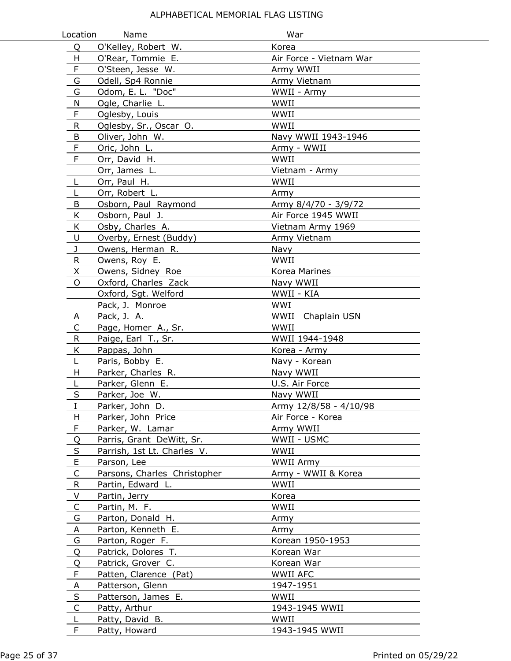| Location       | Name                         | War                     |  |
|----------------|------------------------------|-------------------------|--|
| Q              | O'Kelley, Robert W.          | Korea                   |  |
| H              | O'Rear, Tommie E.            | Air Force - Vietnam War |  |
| F              | O'Steen, Jesse W.            | Army WWII               |  |
| G              | Odell, Sp4 Ronnie            | Army Vietnam            |  |
| G              | Odom, E. L. "Doc"            | WWII - Army             |  |
| N              | Ogle, Charlie L.             | WWII                    |  |
| F              | Oglesby, Louis               | WWII                    |  |
| R              | Oglesby, Sr., Oscar O.       | WWII                    |  |
| B              | Oliver, John W.              | Navy WWII 1943-1946     |  |
| $\mathsf F$    | Oric, John L.                | Army - WWII             |  |
| F              | Orr, David H.                | WWII                    |  |
|                | Orr, James L.                | Vietnam - Army          |  |
| L              | Orr, Paul H.                 | WWII                    |  |
| L              | Orr, Robert L.               | Army                    |  |
| B              | Osborn, Paul Raymond         | Army 8/4/70 - 3/9/72    |  |
| K              | Osborn, Paul J.              | Air Force 1945 WWII     |  |
| K              | Osby, Charles A.             | Vietnam Army 1969       |  |
| U              | Overby, Ernest (Buddy)       | Army Vietnam            |  |
| J              | Owens, Herman R.             | Navy                    |  |
| R              | Owens, Roy E.                | WWII                    |  |
| X              | Owens, Sidney Roe            | Korea Marines           |  |
| $\circ$        | Oxford, Charles Zack         | Navy WWII               |  |
|                | Oxford, Sgt. Welford         | WWII - KIA              |  |
|                | Pack, J. Monroe              | WWI                     |  |
| A              | Pack, J. A.                  | WWII Chaplain USN       |  |
| $\mathsf{C}$   | Page, Homer A., Sr.          | WWII                    |  |
| ${\sf R}$      | Paige, Earl T., Sr.          | WWII 1944-1948          |  |
| K              | Pappas, John                 | Korea - Army            |  |
| L              | Paris, Bobby E.              | Navy - Korean           |  |
| H              | Parker, Charles R.           | Navy WWII               |  |
| L              | Parker, Glenn E.             | U.S. Air Force          |  |
| $\sf S$        | Parker, Joe W.               | Navy WWII               |  |
| I              | Parker, John D.              | Army 12/8/58 - 4/10/98  |  |
| н              | Parker, John Price           | Air Force - Korea       |  |
| F              | Parker, W. Lamar             | Army WWII               |  |
| Q              | Parris, Grant DeWitt, Sr.    | WWII - USMC             |  |
| S              | Parrish, 1st Lt. Charles V.  | WWII                    |  |
| $\mathsf E$    | Parson, Lee                  | WWII Army               |  |
| $\mathsf C$    | Parsons, Charles Christopher | Army - WWII & Korea     |  |
| $\mathsf{R}$   | Partin, Edward L.            | WWII                    |  |
| V              | Partin, Jerry                | Korea                   |  |
| C              | Partin, M. F.                | WWII                    |  |
| G              | Parton, Donald H.            | Army                    |  |
| Α              | Parton, Kenneth E.           | Army                    |  |
| G              | Parton, Roger F.             | Korean 1950-1953        |  |
| Q              | Patrick, Dolores T.          | Korean War              |  |
| Q              | Patrick, Grover C.           | Korean War              |  |
| $\mathsf F$    | Patten, Clarence (Pat)       | WWII AFC                |  |
| $\overline{A}$ | Patterson, Glenn             | 1947-1951               |  |
| $\sf S$        | Patterson, James E.          | WWII                    |  |
| $\mathsf{C}$   | Patty, Arthur                | 1943-1945 WWII          |  |
| L              | Patty, David B.              | WWII                    |  |
| F              | Patty, Howard                | 1943-1945 WWII          |  |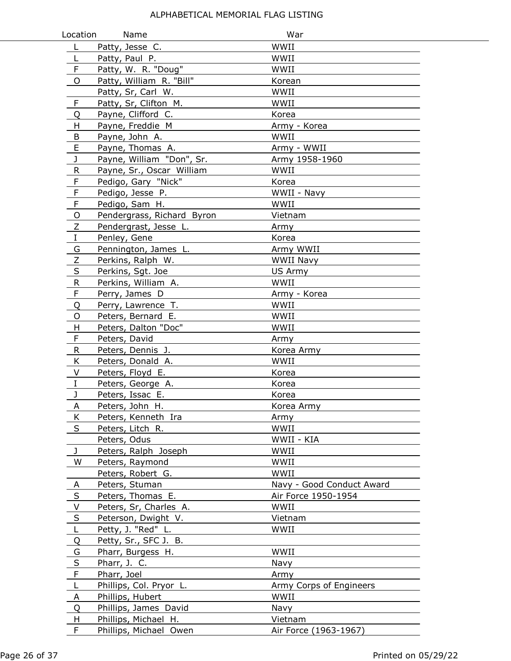| Location    | Name                       | War                       |
|-------------|----------------------------|---------------------------|
| L           | Patty, Jesse C.            | WWII                      |
| L           | Patty, Paul P.             | WWII                      |
| F           | Patty, W. R. "Doug"        | WWII                      |
| O           | Patty, William R. "Bill"   | Korean                    |
|             | Patty, Sr, Carl W.         | WWII                      |
| F           | Patty, Sr, Clifton M.      | WWII                      |
| Q           | Payne, Clifford C.         | Korea                     |
| H           | Payne, Freddie M           | Army - Korea              |
| B           | Payne, John A.             | WWII                      |
| $\mathsf E$ | Payne, Thomas A.           | Army - WWII               |
| J           | Payne, William "Don", Sr.  | Army 1958-1960            |
| R           | Payne, Sr., Oscar William  | WWII                      |
| F           | Pedigo, Gary "Nick"        | Korea                     |
| $\mathsf F$ | Pedigo, Jesse P.           | WWII - Navy               |
| F           | Pedigo, Sam H.             | WWII                      |
| O           | Pendergrass, Richard Byron | Vietnam                   |
| Z           | Pendergrast, Jesse L.      | Army                      |
| $\rm I$     | Penley, Gene               | Korea                     |
| G           | Pennington, James L.       | Army WWII                 |
| Ζ           | Perkins, Ralph W.          | <b>WWII Navy</b>          |
| $\sf S$     | Perkins, Sgt. Joe          | US Army                   |
| ${\sf R}$   | Perkins, William A.        | WWII                      |
| F           | Perry, James D             | Army - Korea              |
| Q           | Perry, Lawrence T.         | WWII                      |
| O           | Peters, Bernard E.         | WWII                      |
| Н           | Peters, Dalton "Doc"       | WWII                      |
| F           | Peters, David              | Army                      |
| R           | Peters, Dennis J.          | Korea Army                |
| K           | Peters, Donald A.          | WWII                      |
| V           | Peters, Floyd E.           | Korea                     |
| $\rm I$     | Peters, George A.          | Korea                     |
| J           | Peters, Issac E.           | Korea                     |
| A           | Peters, John H.            | Korea Army                |
| Κ           | Peters, Kenneth Ira        | Army                      |
| S           | Peters, Litch R.           | WWII                      |
|             | Peters, Odus               | WWII - KIA                |
| J           | Peters, Ralph Joseph       | WWII                      |
| W           | Peters, Raymond            | WWII                      |
|             | Peters, Robert G.          | WWII                      |
| A           | Peters, Stuman             | Navy - Good Conduct Award |
| $\sf S$     | Peters, Thomas E.          | Air Force 1950-1954       |
| V           | Peters, Sr, Charles A.     | WWII                      |
| S           | Peterson, Dwight V.        | Vietnam                   |
| L           | Petty, J. "Red" L.         | WWII                      |
| Q           | Petty, Sr., SFC J. B.      |                           |
| G           | Pharr, Burgess H.          | WWII                      |
| $\sf S$     | Pharr, J. C.               | Navy                      |
| F           | Pharr, Joel                | Army                      |
| L           | Phillips, Col. Pryor L.    | Army Corps of Engineers   |
| A           | Phillips, Hubert           | WWII                      |
| Q           | Phillips, James David      | Navy                      |
| H           | Phillips, Michael H.       | Vietnam                   |
| F           | Phillips, Michael Owen     | Air Force (1963-1967)     |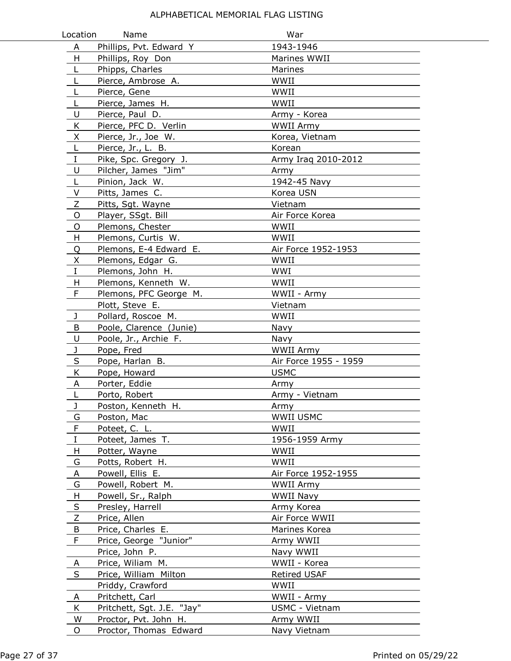| Location | Name                       | War                   |
|----------|----------------------------|-----------------------|
| A        | Phillips, Pvt. Edward Y    | 1943-1946             |
| H        | Phillips, Roy Don          | Marines WWII          |
| L        | Phipps, Charles            | Marines               |
| L        | Pierce, Ambrose A.         | WWII                  |
| L        | Pierce, Gene               | WWII                  |
| L        | Pierce, James H.           | WWII                  |
| U        | Pierce, Paul D.            | Army - Korea          |
| K        | Pierce, PFC D. Verlin      | WWII Army             |
| X        | Pierce, Jr., Joe W.        | Korea, Vietnam        |
| L        | Pierce, Jr., L. B.         | Korean                |
| $\bf I$  | Pike, Spc. Gregory J.      | Army Iraq 2010-2012   |
| U        | Pilcher, James "Jim"       | Army                  |
| L        | Pinion, Jack W.            | 1942-45 Navy          |
| V        | Pitts, James C.            | Korea USN             |
| Z        | Pitts, Sgt. Wayne          | Vietnam               |
| O        | Player, SSgt. Bill         | Air Force Korea       |
| O        | Plemons, Chester           | WWII                  |
| H        | Plemons, Curtis W.         | WWII                  |
| Q        | Plemons, E-4 Edward E.     | Air Force 1952-1953   |
| X        | Plemons, Edgar G.          | WWII                  |
| $\rm I$  | Plemons, John H.           | WWI                   |
| H        | Plemons, Kenneth W.        | WWII                  |
| F        | Plemons, PFC George M.     | WWII - Army           |
|          | Plott, Steve E.            | Vietnam               |
| J        | Pollard, Roscoe M.         | WWII                  |
| B        | Poole, Clarence (Junie)    | Navy                  |
| U        | Poole, Jr., Archie F.      | Navy                  |
| J        | Pope, Fred                 | <b>WWII Army</b>      |
| S        | Pope, Harlan B.            | Air Force 1955 - 1959 |
| K        | Pope, Howard               | <b>USMC</b>           |
| A        | Porter, Eddie              | Army                  |
| L        | Porto, Robert              | Army - Vietnam        |
| J        | Poston, Kenneth H.         | Army                  |
| G        | Poston, Mac                | WWII USMC             |
| F        | Poteet, C. L.              | WWII                  |
| $\bf I$  | Poteet, James T.           | 1956-1959 Army        |
| H        | Potter, Wayne              | WWII                  |
| G        | Potts, Robert H.           | WWII                  |
| A        | Powell, Ellis E.           | Air Force 1952-1955   |
| G        | Powell, Robert M.          | <b>WWII Army</b>      |
| H        | Powell, Sr., Ralph         | WWII Navy             |
| S        | Presley, Harrell           | Army Korea            |
| Z        | Price, Allen               | Air Force WWII        |
| B        | Price, Charles E.          | Marines Korea         |
| F        | Price, George "Junior"     | Army WWII             |
|          | Price, John P.             | Navy WWII             |
| A        | Price, Wiliam M.           | WWII - Korea          |
| S        | Price, William Milton      | <b>Retired USAF</b>   |
|          | Priddy, Crawford           | WWII                  |
| A        | Pritchett, Carl            | WWII - Army           |
| K        | Pritchett, Sgt. J.E. "Jay" | USMC - Vietnam        |
| W        | Proctor, Pvt. John H.      | Army WWII             |
| O        | Proctor, Thomas Edward     | Navy Vietnam          |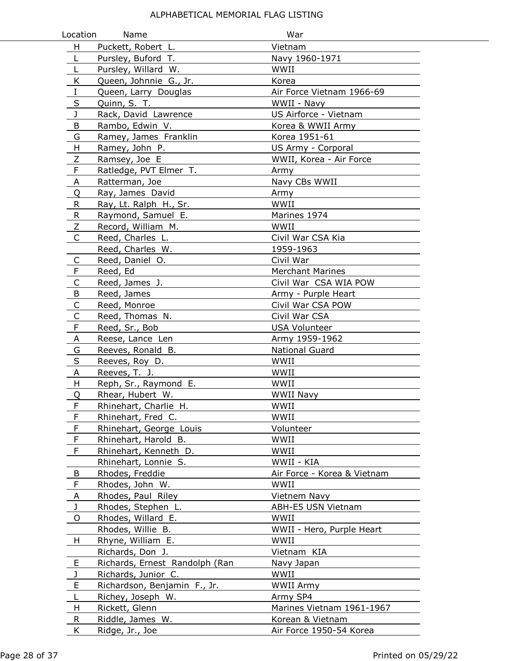| Location     | Name                                | War                                         |
|--------------|-------------------------------------|---------------------------------------------|
| H            | Puckett, Robert L.                  | Vietnam                                     |
| L            | Pursley, Buford T.                  | Navy 1960-1971                              |
| L            | Pursley, Willard W.                 | WWII                                        |
| K            | Queen, Johnnie G., Jr.              | Korea                                       |
| $\rm I$      | Queen, Larry Douglas                | Air Force Vietnam 1966-69                   |
| $\sf S$      | Quinn, S. T.                        | WWII - Navy                                 |
| J            | Rack, David Lawrence                | US Airforce - Vietnam                       |
| B            | Rambo, Edwin V.                     | Korea & WWII Army                           |
| G            | Ramey, James Franklin               | Korea 1951-61                               |
| H            | Ramey, John P.                      | US Army - Corporal                          |
| Ζ            | Ramsey, Joe E                       | WWII, Korea - Air Force                     |
| $\mathsf F$  | Ratledge, PVT Elmer T.              | Army                                        |
| A            | Ratterman, Joe                      | Navy CBs WWII                               |
| Q            | Ray, James David                    | Army                                        |
| R            | Ray, Lt. Ralph H., Sr.              | WWII                                        |
| R.           | Raymond, Samuel E.                  | Marines 1974                                |
| Z            | Record, William M.                  | WWII                                        |
| C            | Reed, Charles L.                    | Civil War CSA Kia                           |
|              | Reed, Charles W.                    | 1959-1963                                   |
| C            | Reed, Daniel O.                     | Civil War                                   |
| F            | Reed, Ed                            | <b>Merchant Marines</b>                     |
| $\mathsf C$  | Reed, James J.                      | Civil War CSA WIA POW                       |
| $\sf B$      | Reed, James                         | Army - Purple Heart                         |
| $\mathsf C$  | Reed, Monroe                        | Civil War CSA POW                           |
| $\mathsf{C}$ | Reed, Thomas N.                     | Civil War CSA                               |
| F            | Reed, Sr., Bob                      | <b>USA Volunteer</b>                        |
| A            | Reese, Lance Len                    | Army 1959-1962                              |
| G            | Reeves, Ronald B.                   | <b>National Guard</b>                       |
| S            | Reeves, Roy D.                      | WWII                                        |
| Α            | Reeves, T. J.                       | WWII                                        |
| H            | Reph, Sr., Raymond E.               | WWII                                        |
| Q            | Rhear, Hubert W.                    | <b>WWII Navy</b>                            |
| ۳            | Rhinehart, Charlie H.               | WWII                                        |
| F            | Rhinehart, Fred C.                  | WWII                                        |
| F            | Rhinehart, George Louis             | Volunteer                                   |
| $\mathsf F$  | Rhinehart, Harold B.                | WWII                                        |
| F            | Rhinehart, Kenneth D.               | WWII                                        |
|              | Rhinehart, Lonnie S.                | WWII - KIA                                  |
| B            | Rhodes, Freddie                     | Air Force - Korea & Vietnam                 |
| F            | Rhodes, John W.                     | WWII                                        |
| A            | Rhodes, Paul Riley                  | Vietnem Navy                                |
| J            | Rhodes, Stephen L.                  | ABH-E5 USN Vietnam                          |
| 0            | Rhodes, Willard E.                  | WWII                                        |
|              | Rhodes, Willie B.                   | WWII - Hero, Purple Heart                   |
| H            | Rhyne, William E.                   | WWII                                        |
|              | Richards, Don J.                    | Vietnam KIA                                 |
| E            | Richards, Ernest_Randolph (Ran      | Navy Japan                                  |
| J            | Richards, Junior C.                 | WWII                                        |
| E            | Richardson, Benjamin F., Jr.        | WWII Army                                   |
| L            | Richey, Joseph W.                   | Army SP4                                    |
| H            | Rickett, Glenn                      | Marines Vietnam 1961-1967                   |
| R<br>K       | Riddle, James W.<br>Ridge, Jr., Joe | Korean & Vietnam<br>Air Force 1950-54 Korea |
|              |                                     |                                             |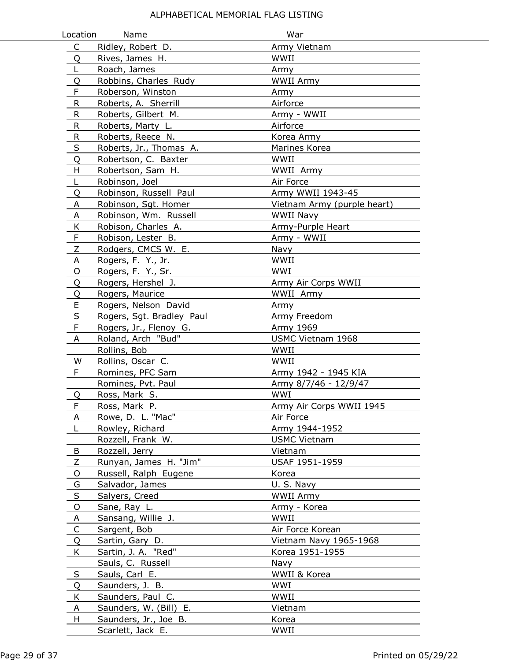| Location     | Name                      | War                         |
|--------------|---------------------------|-----------------------------|
| $\mathsf{C}$ | Ridley, Robert D.         | Army Vietnam                |
| Q            | Rives, James H.           | WWII                        |
| L            | Roach, James              | Army                        |
| Q            | Robbins, Charles Rudy     | WWII Army                   |
| F            | Roberson, Winston         | Army                        |
| R            | Roberts, A. Sherrill      | Airforce                    |
| $\mathsf R$  | Roberts, Gilbert M.       | Army - WWII                 |
| R            | Roberts, Marty L.         | Airforce                    |
| ${\sf R}$    | Roberts, Reece N.         | Korea Army                  |
| $\sf S$      | Roberts, Jr., Thomas A.   | Marines Korea               |
| Q            | Robertson, C. Baxter      | WWII                        |
| H            | Robertson, Sam H.         | WWII Army                   |
| L            | Robinson, Joel            | Air Force                   |
| Q            | Robinson, Russell Paul    | Army WWII 1943-45           |
| A            | Robinson, Sgt. Homer      | Vietnam Army (purple heart) |
| Α            | Robinson, Wm. Russell     | WWII Navy                   |
| Κ            | Robison, Charles A.       | Army-Purple Heart           |
| F            | Robison, Lester B.        | Army - WWII                 |
| Ζ            | Rodgers, CMCS W. E.       | Navy                        |
| A            | Rogers, F. Y., Jr.        | WWII                        |
| O            | Rogers, F. Y., Sr.        | <b>WWI</b>                  |
| Q            | Rogers, Hershel J.        | Army Air Corps WWII         |
| Q            | Rogers, Maurice           | WWII Army                   |
| E            | Rogers, Nelson David      | Army                        |
| $\sf S$      | Rogers, Sgt. Bradley Paul | Army Freedom                |
| F            | Rogers, Jr., Flenoy G.    | Army 1969                   |
| Α            | Roland, Arch "Bud"        | USMC Vietnam 1968           |
|              | Rollins, Bob              | WWII                        |
| W            | Rollins, Oscar C.         | WWII                        |
| F            | Romines, PFC Sam          | Army 1942 - 1945 KIA        |
|              | Romines, Pvt. Paul        | Army 8/7/46 - 12/9/47       |
| Q            | Ross, Mark S.             | WWI                         |
| F            | Ross, Mark P.             | Army Air Corps WWII 1945    |
| A            | Rowe, D. L. "Mac"         | Air Force                   |
| L            | Rowley, Richard           | Army 1944-1952              |
|              | Rozzell, Frank W.         | <b>USMC Vietnam</b>         |
| B            | Rozzell, Jerry            | Vietnam                     |
| Z            | Runyan, James H. "Jim"    | USAF 1951-1959              |
| $\circ$      | Russell, Ralph Eugene     | Korea                       |
| G            | Salvador, James           | U.S. Navy                   |
| S            | Salyers, Creed            | WWII Army                   |
| $\mathsf O$  | Sane, Ray L.              | Army - Korea                |
| A            | Sansang, Willie J.        | WWII                        |
| C            | Sargent, Bob              | Air Force Korean            |
| Q            | Sartin, Gary D.           | Vietnam Navy 1965-1968      |
| K            | Sartin, J. A. "Red"       | Korea 1951-1955             |
|              | Sauls, C. Russell         | Navy                        |
| $\sf S$      | Sauls, Carl E.            | WWII & Korea                |
| Q            | Saunders, J. B.           | WWI                         |
| K            | Saunders, Paul C.         | WWII                        |
| A            | Saunders, W. (Bill) E.    | Vietnam                     |
| H            | Saunders, Jr., Joe B.     | Korea                       |
|              | Scarlett, Jack E.         | WWII                        |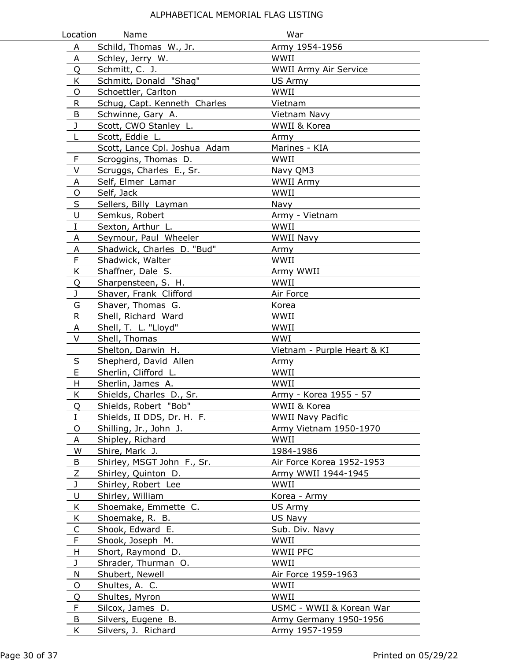| Location     | Name                          | War                          |
|--------------|-------------------------------|------------------------------|
| A            | Schild, Thomas W., Jr.        | Army 1954-1956               |
| Α            | Schley, Jerry W.              | WWII                         |
| Q            | Schmitt, C. J.                | <b>WWII Army Air Service</b> |
| K            | Schmitt, Donald "Shag"        | US Army                      |
| O            | Schoettler, Carlton           | WWII                         |
| R            | Schug, Capt. Kenneth Charles  | Vietnam                      |
| B            | Schwinne, Gary A.             | Vietnam Navy                 |
| $\mathbf{J}$ | Scott, CWO Stanley L.         | WWII & Korea                 |
| L            | Scott, Eddie L.               | Army                         |
|              | Scott, Lance Cpl. Joshua Adam | Marines - KIA                |
| $\mathsf F$  | Scroggins, Thomas D.          | WWII                         |
| V            | Scruggs, Charles E., Sr.      | Navy QM3                     |
| A            | Self, Elmer Lamar             | WWII Army                    |
| $\mathsf{O}$ | Self, Jack                    | WWII                         |
| $\mathsf S$  | Sellers, Billy Layman         | Navy                         |
| U            | Semkus, Robert                | Army - Vietnam               |
| $\rm I$      | Sexton, Arthur L.             | WWII                         |
| A            | Seymour, Paul Wheeler         | WWII Navy                    |
| A            | Shadwick, Charles D. "Bud"    | Army                         |
| F            | Shadwick, Walter              | WWII                         |
| K            | Shaffner, Dale S.             | Army WWII                    |
| Q            | Sharpensteen, S. H.           | WWII                         |
| $\mathbf{J}$ | Shaver, Frank Clifford        | Air Force                    |
| G            | Shaver, Thomas G.             | Korea                        |
| $\mathsf{R}$ | Shell, Richard Ward           | WWII                         |
| A            | Shell, T. L. "Lloyd"          | WWII                         |
| V            | Shell, Thomas                 | WWI                          |
|              | Shelton, Darwin H.            | Vietnam - Purple Heart & KI  |
| S            | Shepherd, David Allen         | Army                         |
| E            | Sherlin, Clifford L.          | WWII                         |
| H            | Sherlin, James A.             | WWII                         |
| K            | Shields, Charles D., Sr.      | Army - Korea 1955 - 57       |
| Q            | Shields, Robert "Bob"         | WWII & Korea                 |
| I            | Shields, II DDS, Dr. H. F.    | <b>WWII Navy Pacific</b>     |
| O            | Shilling, Jr., John J.        | Army Vietnam 1950-1970       |
| $\mathsf{A}$ | Shipley, Richard              | WWII                         |
| W            | Shire, Mark J.                | 1984-1986                    |
| B            | Shirley, MSGT John F., Sr.    | Air Force Korea 1952-1953    |
| $\mathsf Z$  | Shirley, Quinton D.           | Army WWII 1944-1945          |
| J            | Shirley, Robert Lee           | WWII                         |
| U            | Shirley, William              | Korea - Army                 |
| K            | Shoemake, Emmette C.          | US Army                      |
| K            | Shoemake, R. B.               | US Navy                      |
| $\mathsf{C}$ | Shook, Edward E.              | Sub. Div. Navy               |
| F            | Shook, Joseph M.              | WWII                         |
| H            | Short, Raymond D.             | <b>WWII PFC</b>              |
| J            | Shrader, Thurman O.           | WWII                         |
| N            | Shubert, Newell               | Air Force 1959-1963          |
| O            | Shultes, A. C.                | WWII                         |
| Q            | Shultes, Myron                | WWII                         |
| F            | Silcox, James D.              | USMC - WWII & Korean War     |
| B            | Silvers, Eugene B.            | Army Germany 1950-1956       |
| K            | Silvers, J. Richard           | Army 1957-1959               |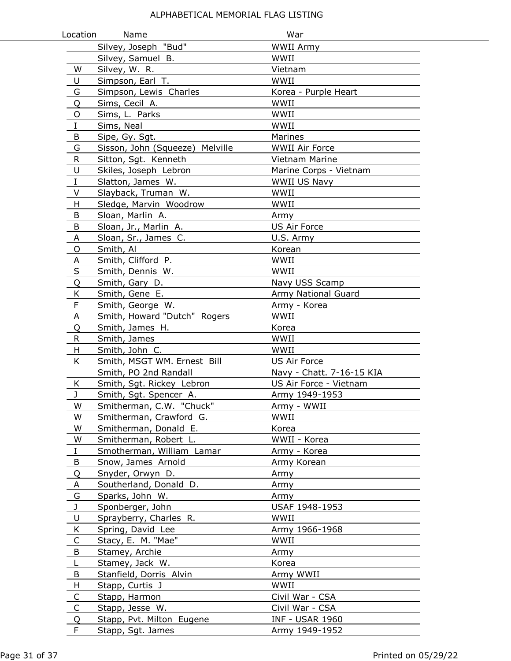| Location     | Name                            | War                       |
|--------------|---------------------------------|---------------------------|
|              | Silvey, Joseph "Bud"            | <b>WWII Army</b>          |
|              | Silvey, Samuel B.               | WWII                      |
| W            | Silvey, W. R.                   | Vietnam                   |
| U            | Simpson, Earl T.                | WWII                      |
| G            | Simpson, Lewis Charles          | Korea - Purple Heart      |
| Q            | Sims, Cecil A.                  | WWII                      |
| O            | Sims, L. Parks                  | WWII                      |
| Ι            | Sims, Neal                      | WWII                      |
| B            | Sipe, Gy. Sgt.                  | Marines                   |
| G            | Sisson, John (Squeeze) Melville | <b>WWII Air Force</b>     |
| ${\sf R}$    | Sitton, Sgt. Kenneth            | Vietnam Marine            |
| U            | Skiles, Joseph Lebron           | Marine Corps - Vietnam    |
| $\rm I$      | Slatton, James W.               | WWII US Navy              |
| V            | Slayback, Truman W.             | WWII                      |
| Н            | Sledge, Marvin Woodrow          | WWII                      |
| B            | Sloan, Marlin A.                | Army                      |
| B            | Sloan, Jr., Marlin A.           | US Air Force              |
| Α            | Sloan, Sr., James C.            | U.S. Army                 |
| O            | Smith, Al                       | Korean                    |
| Α            | Smith, Clifford P.              | WWII                      |
| $\sf S$      | Smith, Dennis W.                | WWII                      |
| Q            | Smith, Gary D.                  | Navy USS Scamp            |
| K            | Smith, Gene E.                  | Army National Guard       |
| $\mathsf F$  | Smith, George W.                | Army - Korea              |
| A            | Smith, Howard "Dutch" Rogers    | WWII                      |
| Q            | Smith, James H.                 | Korea                     |
| R            | Smith, James                    | WWII                      |
| H            | Smith, John C.                  | WWII                      |
| K.           | Smith, MSGT WM. Ernest Bill     | <b>US Air Force</b>       |
|              | Smith, PO 2nd Randall           | Navy - Chatt. 7-16-15 KIA |
| Κ            | Smith, Sgt. Rickey Lebron       | US Air Force - Vietnam    |
| J            | Smith, Sgt. Spencer A.          | Army 1949-1953            |
| W            | Smitherman, C.W. "Chuck"        | Army - WWII               |
| W            | Smitherman, Crawford G.         | WWII                      |
| W            | Smitherman, Donald E.           | Korea                     |
| W            | Smitherman, Robert L.           | WWII - Korea              |
| $\mathbf I$  | Smotherman, William Lamar       | Army - Korea              |
| B            | Snow, James Arnold              | Army Korean               |
| Q            | Snyder, Orwyn D.                | Army                      |
| A            | Southerland, Donald D.          | Army                      |
| G            | Sparks, John W.                 | Army                      |
| J            | Sponberger, John                | USAF 1948-1953            |
| U            | Sprayberry, Charles R.          | WWII                      |
| Κ            | Spring, David Lee               | Army 1966-1968            |
| C            | Stacy, E. M. "Mae"              | WWII                      |
| B            | Stamey, Archie                  | Army                      |
| L            | Stamey, Jack W.                 | Korea                     |
| B            | Stanfield, Dorris Alvin         | Army WWII                 |
| H            | Stapp, Curtis J                 | WWII                      |
| C            | Stapp, Harmon                   | Civil War - CSA           |
| $\mathsf{C}$ | Stapp, Jesse W.                 | Civil War - CSA           |
| Q            | Stapp, Pvt. Milton Eugene       | <b>INF - USAR 1960</b>    |
| F            | Stapp, Sgt. James               | Army 1949-1952            |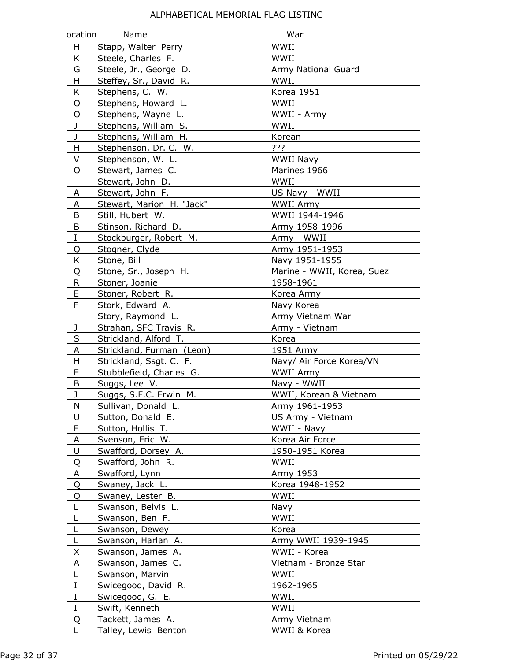| Location     | Name                      | War                        |
|--------------|---------------------------|----------------------------|
| H            | Stapp, Walter Perry       | WWII                       |
| K            | Steele, Charles F.        | WWII                       |
| G            | Steele, Jr., George D.    | Army National Guard        |
| H            | Steffey, Sr., David R.    | WWII                       |
| K            | Stephens, C. W.           | Korea 1951                 |
| O            | Stephens, Howard L.       | WWII                       |
| O            | Stephens, Wayne L.        | WWII - Army                |
| J            | Stephens, William S.      | WWII                       |
| J            | Stephens, William H.      | Korean                     |
| H            | Stephenson, Dr. C. W.     | ???                        |
| V            | Stephenson, W. L.         | <b>WWII Navy</b>           |
| O            | Stewart, James C.         | Marines 1966               |
|              | Stewart, John D.          | WWII                       |
| A            | Stewart, John F.          | US Navy - WWII             |
| A            | Stewart, Marion H. "Jack" | <b>WWII Army</b>           |
| B            | Still, Hubert W.          | WWII 1944-1946             |
| B            | Stinson, Richard D.       | Army 1958-1996             |
| $\mathbf{I}$ | Stockburger, Robert M.    | Army - WWII                |
| Q            | Stogner, Clyde            | Army 1951-1953             |
| K            | Stone, Bill               | Navy 1951-1955             |
| Q            | Stone, Sr., Joseph H.     | Marine - WWII, Korea, Suez |
| R.           | Stoner, Joanie            | 1958-1961                  |
| E            | Stoner, Robert R.         | Korea Army                 |
| F            | Stork, Edward A.          | Navy Korea                 |
|              | Story, Raymond L.         | Army Vietnam War           |
| J            | Strahan, SFC Travis R.    | Army - Vietnam             |
| $\sf S$      | Strickland, Alford T.     | Korea                      |
| A            | Strickland, Furman (Leon) | 1951 Army                  |
| H            | Strickland, Ssgt. C. F.   | Navy/ Air Force Korea/VN   |
| E            | Stubblefield, Charles G.  | WWII Army                  |
| B            | Suggs, Lee V.             | Navy - WWII                |
| J            | Suggs, S.F.C. Erwin M.    | WWII, Korean & Vietnam     |
| N            | Sullivan, Donald L.       | Army 1961-1963             |
| U            | Sutton, Donald E.         | US Army - Vietnam          |
| $\mathsf F$  | Sutton, Hollis T.         | WWII - Navy                |
| A            | Svenson, Eric W.          | Korea Air Force            |
| U            | Swafford, Dorsey A.       | 1950-1951 Korea            |
| Q            | Swafford, John R.         | WWII                       |
| A            | Swafford, Lynn            | Army 1953                  |
| Q            | Swaney, Jack L.           | Korea 1948-1952            |
| Q            | Swaney, Lester B.         | WWII                       |
|              | Swanson, Belvis L.        | Navy                       |
| L            | Swanson, Ben F.           | WWII                       |
| L            | Swanson, Dewey            | Korea                      |
| L            | Swanson, Harlan A.        | Army WWII 1939-1945        |
| X            | Swanson, James A.         | WWII - Korea               |
| A            | Swanson, James C.         | Vietnam - Bronze Star      |
| $\mathsf{L}$ | Swanson, Marvin           | WWII                       |
| $\mathbf{I}$ | Swicegood, David R.       | 1962-1965                  |
| $\bf{I}$     | Swicegood, G. E.          | WWII                       |
| $\bf{I}$     | Swift, Kenneth            | WWII                       |
| Q            | Tackett, James A.         | Army Vietnam               |
| L            | Talley, Lewis Benton      | WWII & Korea               |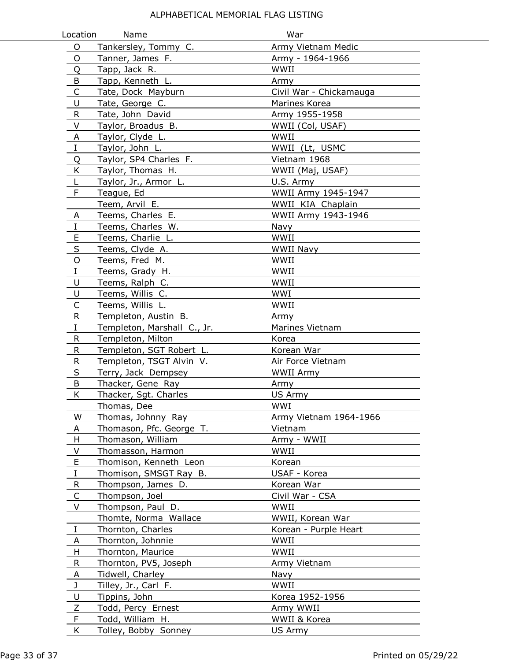| Location     | Name                        | War                     |  |
|--------------|-----------------------------|-------------------------|--|
| $\circ$      | Tankersley, Tommy C.        | Army Vietnam Medic      |  |
| O            | Tanner, James F.            | Army - 1964-1966        |  |
| Q            | Tapp, Jack R.               | WWII                    |  |
| B            | Tapp, Kenneth L.            | Army                    |  |
| $\mathsf C$  | Tate, Dock Mayburn          | Civil War - Chickamauga |  |
| U            | Tate, George C.             | Marines Korea           |  |
| $\mathsf{R}$ | Tate, John David            | Army 1955-1958          |  |
| V            | Taylor, Broadus B.          | WWII (Col, USAF)        |  |
| $\mathsf{A}$ | Taylor, Clyde L.            | WWII                    |  |
| $\rm I$      | Taylor, John L.             | WWII (Lt, USMC          |  |
| Q            | Taylor, SP4 Charles F.      | Vietnam 1968            |  |
| K            | Taylor, Thomas H.           | WWII (Maj, USAF)        |  |
| L            | Taylor, Jr., Armor L.       | U.S. Army               |  |
| $\mathsf F$  | Teague, Ed                  | WWII Army 1945-1947     |  |
|              | Teem, Arvil E.              | WWII KIA Chaplain       |  |
| A            | Teems, Charles E.           | WWII Army 1943-1946     |  |
| $\bf{I}$     | Teems, Charles W.           | Navy                    |  |
| E            | Teems, Charlie L.           | WWII                    |  |
| S            | Teems, Clyde A.             | WWII Navy               |  |
| $\circ$      | Teems, Fred M.              | WWII                    |  |
| $\rm I$      | Teems, Grady H.             | WWII                    |  |
| U            | Teems, Ralph C.             | WWII                    |  |
| U            | Teems, Willis C.            | WWI                     |  |
| $\mathsf{C}$ | Teems, Willis L.            | WWII                    |  |
| R.           | Templeton, Austin B.        | Army                    |  |
| $\rm I$      | Templeton, Marshall C., Jr. | Marines Vietnam         |  |
| R            | Templeton, Milton           | Korea                   |  |
| ${\sf R}$    | Templeton, SGT Robert L.    | Korean War              |  |
| R            | Templeton, TSGT Alvin V.    | Air Force Vietnam       |  |
| S            | Terry, Jack Dempsey         | <b>WWII Army</b>        |  |
| B            | Thacker, Gene Ray           | Army                    |  |
| K            | Thacker, Sgt. Charles       | US Army                 |  |
|              | Thomas, Dee                 | WWI                     |  |
| W            | Thomas, Johnny Ray          | Army Vietnam 1964-1966  |  |
| A            | Thomason, Pfc. George T.    | Vietnam                 |  |
| H            | Thomason, William           | Army - WWII             |  |
| V            | Thomasson, Harmon           | WWII                    |  |
| E            | Thomison, Kenneth Leon      | Korean                  |  |
| $\rm I$      | Thomison, SMSGT Ray B.      | USAF - Korea            |  |
| R            | Thompson, James D.          | Korean War              |  |
| C            | Thompson, Joel              | Civil War - CSA         |  |
| V            | Thompson, Paul D.           | WWII                    |  |
|              | Thomte, Norma Wallace       | WWII, Korean War        |  |
| $\rm I$      | Thornton, Charles           | Korean - Purple Heart   |  |
| A            | Thornton, Johnnie           | WWII                    |  |
| H            | Thornton, Maurice           | WWII                    |  |
| R            | Thornton, PV5, Joseph       | Army Vietnam            |  |
| A            | Tidwell, Charley            | Navy                    |  |
| J            | Tilley, Jr., Carl F.        | WWII                    |  |
| U            | Tippins, John               | Korea 1952-1956         |  |
| Ζ            | Todd, Percy Ernest          | Army WWII               |  |
| F            | Todd, William H.            | WWII & Korea            |  |
| K            | Tolley, Bobby Sonney        | US Army                 |  |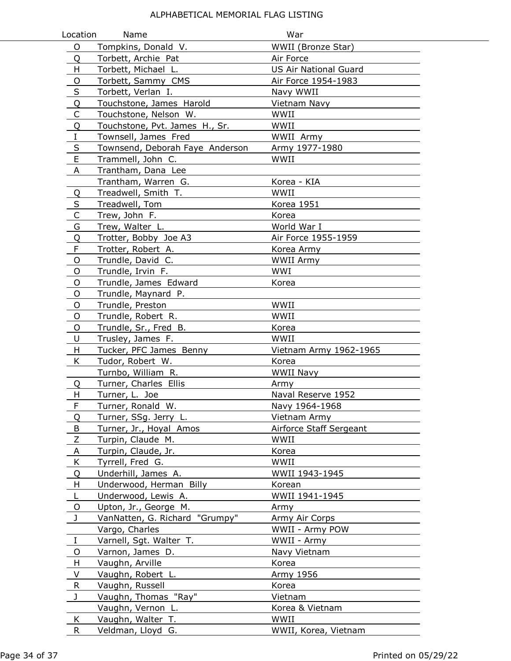| Location                | Name                            | War                          |
|-------------------------|---------------------------------|------------------------------|
| O                       | Tompkins, Donald V.             | WWII (Bronze Star)           |
| Q                       | Torbett, Archie Pat             | Air Force                    |
| H                       | Torbett, Michael L.             | <b>US Air National Guard</b> |
| O                       | Torbett, Sammy CMS              | Air Force 1954-1983          |
| $\sf S$                 | Torbett, Verlan I.              | Navy WWII                    |
| Q                       | Touchstone, James Harold        | Vietnam Navy                 |
| $\mathsf C$             | Touchstone, Nelson W.           | WWII                         |
| Q                       | Touchstone, Pvt. James H., Sr.  | WWII                         |
| $\rm I$                 | Townsell, James Fred            | WWII Army                    |
| $\sf S$                 | Townsend, Deborah Faye Anderson | Army 1977-1980               |
| $\mathsf E$             | Trammell, John C.               | WWII                         |
| A                       | Trantham, Dana Lee              |                              |
|                         | Trantham, Warren G.             | Korea - KIA                  |
| Q                       | Treadwell, Smith T.             | WWII                         |
| $\overline{\mathsf{S}}$ | Treadwell, Tom                  | Korea 1951                   |
| $\overline{C}$          | Trew, John F.                   | Korea                        |
| G                       | Trew, Walter L.                 | World War I                  |
| Q                       | Trotter, Bobby Joe A3           | Air Force 1955-1959          |
| F                       | Trotter, Robert A.              | Korea Army                   |
| O                       | Trundle, David C.               | <b>WWII Army</b>             |
| O                       | Trundle, Irvin F.               | <b>WWI</b>                   |
| O                       | Trundle, James Edward           | Korea                        |
| O                       | Trundle, Maynard P.             |                              |
| O                       | Trundle, Preston                | WWII                         |
| O                       | Trundle, Robert R.              | WWII                         |
| O                       | Trundle, Sr., Fred B.           | Korea                        |
| U                       | Trusley, James F.               | WWII                         |
| H                       | Tucker, PFC James Benny         | Vietnam Army 1962-1965       |
| K                       | Tudor, Robert W.                | Korea                        |
|                         | Turnbo, William R.              | WWII Navy                    |
| Q                       | Turner, Charles Ellis           | Army                         |
| Н                       | Turner, L. Joe                  | Naval Reserve 1952           |
| F                       | Turner, Ronald W.               | Navy 1964-1968               |
| Q                       | Turner, SSg. Jerry L.           | Vietnam Army                 |
| B                       | Turner, Jr., Hoyal Amos         | Airforce Staff Sergeant      |
| Z                       | Turpin, Claude M.               | WWII                         |
| A                       | Turpin, Claude, Jr.             | Korea                        |
| K                       | Tyrrell, Fred G.                | WWII                         |
| Q                       | Underhill, James A.             | WWII 1943-1945               |
| н                       | Underwood, Herman Billy         | Korean                       |
| L                       | Underwood, Lewis A.             | WWII 1941-1945               |
| O                       | Upton, Jr., George M.           | Army                         |
| J                       | VanNatten, G. Richard "Grumpy"  | Army Air Corps               |
|                         | Vargo, Charles                  | WWII - Army POW              |
| $\bf{I}$                | Varnell, Sgt. Walter T.         | WWII - Army                  |
| O                       | Varnon, James D.                | Navy Vietnam                 |
| H.                      | Vaughn, Arville                 | Korea                        |
| V                       | Vaughn, Robert L.               | Army 1956                    |
| R                       | Vaughn, Russell                 | Korea                        |
| J                       | Vaughn, Thomas "Ray"            | Vietnam                      |
|                         | Vaughn, Vernon L.               | Korea & Vietnam              |
| K                       | Vaughn, Walter T.               | WWII                         |
| R                       | Veldman, Lloyd G.               | WWII, Korea, Vietnam         |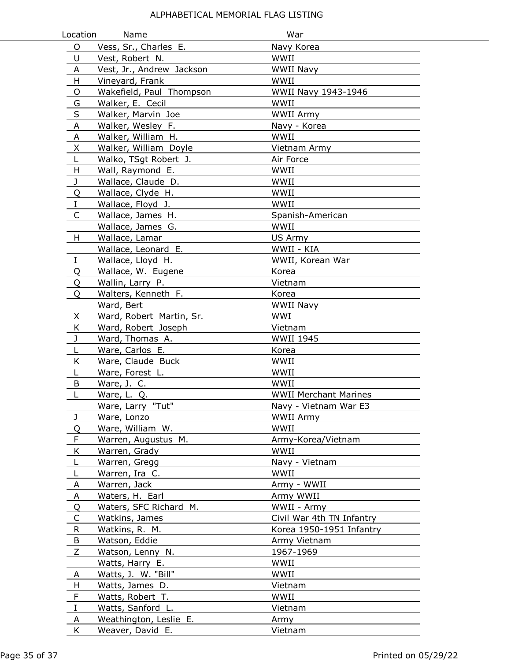| Location    | Name                                    | War                          |
|-------------|-----------------------------------------|------------------------------|
| O           | Vess, Sr., Charles E.                   | Navy Korea                   |
| U           | Vest, Robert N.                         | WWII                         |
| Α           | Vest, Jr., Andrew Jackson               | <b>WWII Navy</b>             |
| H           | Vineyard, Frank                         | WWII                         |
| O           | Wakefield, Paul Thompson                | WWII Navy 1943-1946          |
| G           | Walker, E. Cecil                        | WWII                         |
| $\sf S$     | Walker, Marvin Joe                      | <b>WWII Army</b>             |
| A           | Walker, Wesley F.                       | Navy - Korea                 |
| A           | Walker, William H.                      | WWII                         |
| X           | Walker, William Doyle                   | Vietnam Army                 |
| L           | Walko, TSgt Robert J.                   | Air Force                    |
| H           | Wall, Raymond E.                        | WWII                         |
| J           | Wallace, Claude D.                      | WWII                         |
| Q           | Wallace, Clyde H.                       | WWII                         |
| $\rm I$     | Wallace, Floyd J.                       | WWII                         |
| C           | Wallace, James H.                       | Spanish-American             |
|             | Wallace, James G.                       | WWII                         |
| H           | Wallace, Lamar                          | US Army                      |
|             | Wallace, Leonard E.                     | WWII - KIA                   |
| Ι           | Wallace, Lloyd H.                       | WWII, Korean War             |
| Q           | Wallace, W. Eugene                      | Korea                        |
| Q           | Wallin, Larry P.                        | Vietnam                      |
| Q           | Walters, Kenneth F.                     | Korea                        |
|             | Ward, Bert                              | WWII Navy                    |
| X           | Ward, Robert Martin, Sr.                | WWI                          |
| K           | Ward, Robert Joseph                     | Vietnam                      |
| J           | Ward, Thomas A.                         | <b>WWII 1945</b>             |
| L           | Ware, Carlos E.                         | Korea                        |
| K           | Ware, Claude Buck                       | WWII                         |
| L           | Ware, Forest L.                         | WWII                         |
| B           | Ware, J. C.                             | WWII                         |
| L           | Ware, L. Q.                             | <b>WWII Merchant Marines</b> |
|             | Ware, Larry "Tut"                       | Navy - Vietnam War E3        |
| J           | Ware, Lonzo                             | <b>WWII Army</b><br>WWII     |
| Q<br>F      | Ware, William W.<br>Warren, Augustus M. |                              |
| K           | Warren, Grady                           | Army-Korea/Vietnam<br>WWII   |
| L           | Warren, Gregg                           | Navy - Vietnam               |
| L           | Warren, Ira C.                          | WWII                         |
| A           | Warren, Jack                            | Army - WWII                  |
| Α           | Waters, H. Earl                         | Army WWII                    |
| Q           | Waters, SFC Richard M.                  | WWII - Army                  |
| C           | Watkins, James                          | Civil War 4th TN Infantry    |
| R           | Watkins, R. M.                          | Korea 1950-1951 Infantry     |
| B           | Watson, Eddie                           | Army Vietnam                 |
| Z           | Watson, Lenny N.                        | 1967-1969                    |
|             | Watts, Harry E.                         | WWII                         |
| A           | Watts, J. W. "Bill"                     | WWII                         |
| H           | Watts, James D.                         | Vietnam                      |
| F           | Watts, Robert T.                        | WWII                         |
| $\mathbf I$ | Watts, Sanford L.                       | Vietnam                      |
| A           | Weathington, Leslie E.                  | Army                         |
| K           | Weaver, David E.                        | Vietnam                      |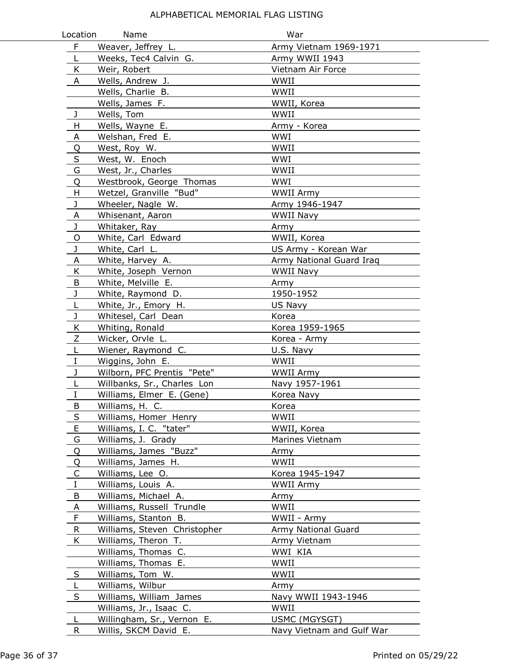| Location     | Name                         | War                       |
|--------------|------------------------------|---------------------------|
| F            | Weaver, Jeffrey L.           | Army Vietnam 1969-1971    |
| L            | Weeks, Tec4 Calvin G.        | Army WWII 1943            |
| K            | Weir, Robert                 | Vietnam Air Force         |
| A            | Wells, Andrew J.             | WWII                      |
|              | Wells, Charlie B.            | WWII                      |
|              | Wells, James F.              | WWII, Korea               |
| $\mathbf{J}$ | Wells, Tom                   | WWII                      |
| H            | Wells, Wayne E.              | Army - Korea              |
| A            | Welshan, Fred E.             | WWI                       |
| Q            | West, Roy W.                 | WWII                      |
| $\sf S$      | West, W. Enoch               | WWI                       |
| G            | West, Jr., Charles           | WWII                      |
| Q            | Westbrook, George Thomas     | WWI                       |
| H            | Wetzel, Granville "Bud"      | WWII Army                 |
| $\mathsf J$  | Wheeler, Nagle W.            | Army 1946-1947            |
| A            | Whisenant, Aaron             | WWII Navy                 |
| J            | Whitaker, Ray                | Army                      |
| $\circ$      | White, Carl Edward           | WWII, Korea               |
| J            | White, Carl L.               | US Army - Korean War      |
| A            | White, Harvey A.             | Army National Guard Iraq  |
| K            | White, Joseph Vernon         | WWII Navy                 |
| B            | White, Melville E.           | Army                      |
| J            | White, Raymond D.            | 1950-1952                 |
| L            | White, Jr., Emory H.         | US Navy                   |
| J            | Whitesel, Carl Dean          | Korea                     |
| K            | Whiting, Ronald              | Korea 1959-1965           |
| $\mathsf Z$  | Wicker, Orvle L.             | Korea - Army              |
| $\mathsf L$  | Wiener, Raymond C.           | U.S. Navy                 |
| $\mathbf I$  | Wiggins, John E.             | WWII                      |
| J            | Wilborn, PFC Prentis "Pete"  | <b>WWII Army</b>          |
| L            | Willbanks, Sr., Charles Lon  | Navy 1957-1961            |
| $\bf I$      | Williams, Elmer E. (Gene)    | Korea Navy                |
| Β            | Williams, H. C.              | Korea                     |
| S            | Williams, Homer Henry        | WWII                      |
| E            | Williams, I. C. "tater"      | WWII, Korea               |
| G            | Williams, J. Grady           | Marines Vietnam           |
| Q            | Williams, James "Buzz"       | Army                      |
| Q            | Williams, James H.           | WWII                      |
| C            | Williams, Lee O.             | Korea 1945-1947           |
| $\rm I$      | Williams, Louis A.           | WWII Army                 |
| $\sf B$      | Williams, Michael A.         | Army                      |
| $\mathsf{A}$ | Williams, Russell Trundle    | WWII                      |
| $\mathsf F$  | Williams, Stanton B.         | WWII - Army               |
| $\mathsf{R}$ | Williams, Steven Christopher | Army National Guard       |
| K            | Williams, Theron T.          | Army Vietnam              |
|              | Williams, Thomas C.          | WWI KIA                   |
|              | Williams, Thomas E.          | WWII                      |
| S            | Williams, Tom W.             | WWII                      |
| L            | Williams, Wilbur             | Army                      |
| S            | Williams, William James      | Navy WWII 1943-1946       |
|              | Williams, Jr., Isaac C.      | WWII                      |
| L            | Willingham, Sr., Vernon E.   | USMC (MGYSGT)             |
| R            | Willis, SKCM David E.        | Navy Vietnam and Gulf War |